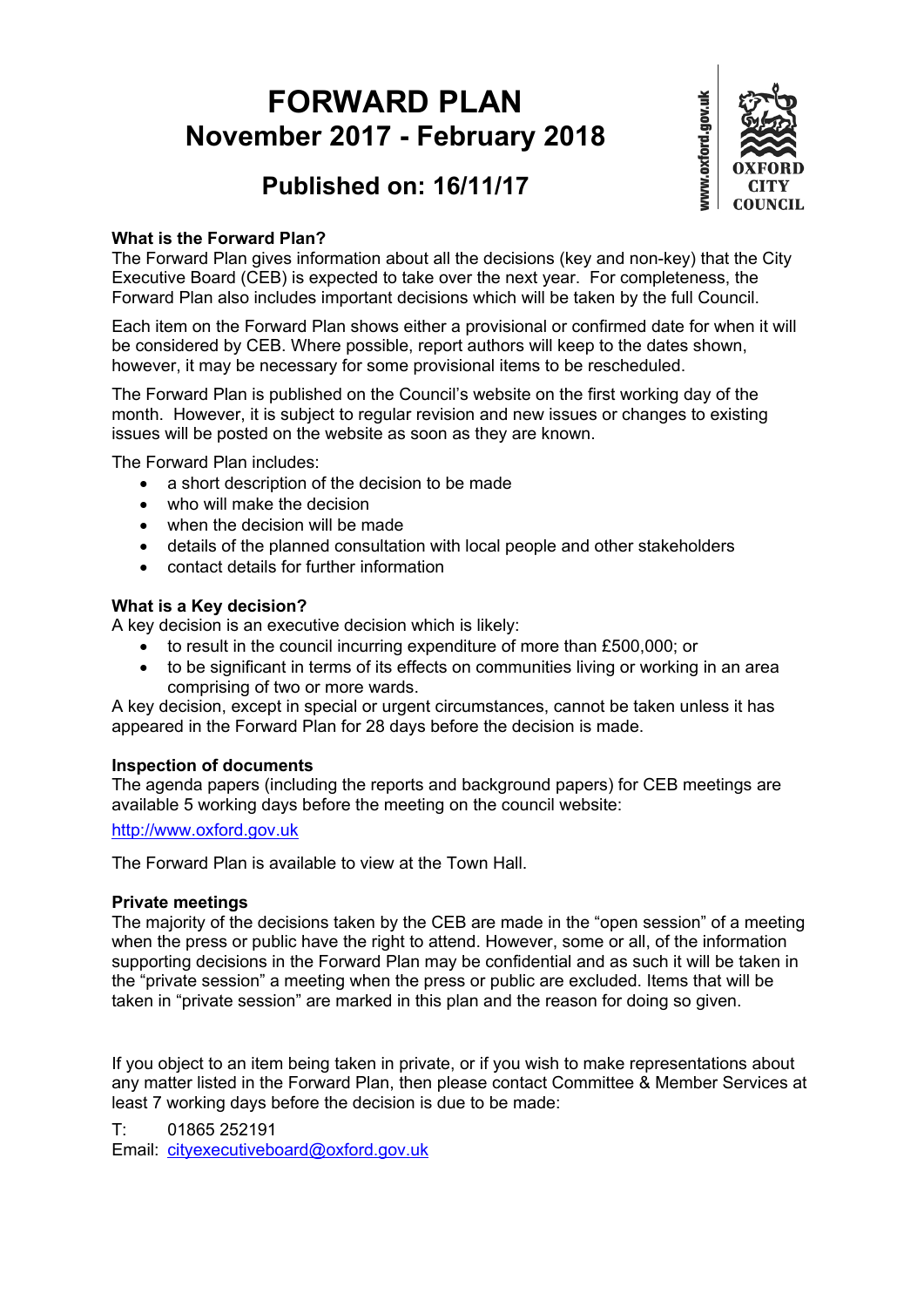# **FORWARD PLAN November 2017 - February 2018**



# **Published on: 16/11/17**

#### **What is the Forward Plan?**

The Forward Plan gives information about all the decisions (key and non-key) that the City Executive Board (CEB) is expected to take over the next year. For completeness, the Forward Plan also includes important decisions which will be taken by the full Council.

Each item on the Forward Plan shows either a provisional or confirmed date for when it will be considered by CEB. Where possible, report authors will keep to the dates shown, however, it may be necessary for some provisional items to be rescheduled.

The Forward Plan is published on the Council's website on the first working day of the month. However, it is subject to regular revision and new issues or changes to existing issues will be posted on the website as soon as they are known.

The Forward Plan includes:

- a short description of the decision to be made
- . who will make the decision
- when the decision will be made
- details of the planned consultation with local people and other stakeholders
- contact details for further information

#### **What is a Key decision?**

A key decision is an executive decision which is likely:

- to result in the council incurring expenditure of more than £500,000; or
- to be significant in terms of its effects on communities living or working in an area comprising of two or more wards.

A key decision, except in special or urgent circumstances, cannot be taken unless it has appeared in the Forward Plan for 28 days before the decision is made.

#### **Inspection of documents**

The agenda papers (including the reports and background papers) for CEB meetings are available 5 working days before the meeting on the council website:

[http://www.oxford.gov.uk](http://www.oxford.gov.uk/)

The Forward Plan is available to view at the Town Hall.

#### **Private meetings**

The majority of the decisions taken by the CEB are made in the "open session" of a meeting when the press or public have the right to attend. However, some or all, of the information supporting decisions in the Forward Plan may be confidential and as such it will be taken in the "private session" a meeting when the press or public are excluded. Items that will be taken in "private session" are marked in this plan and the reason for doing so given.

If you object to an item being taken in private, or if you wish to make representations about any matter listed in the Forward Plan, then please contact Committee & Member Services at least 7 working days before the decision is due to be made:

T: 01865 252191 Email: [cityexecutiveboard@oxford.gov.uk](mailto:cityexecutiveboard@oxford.gov.uk)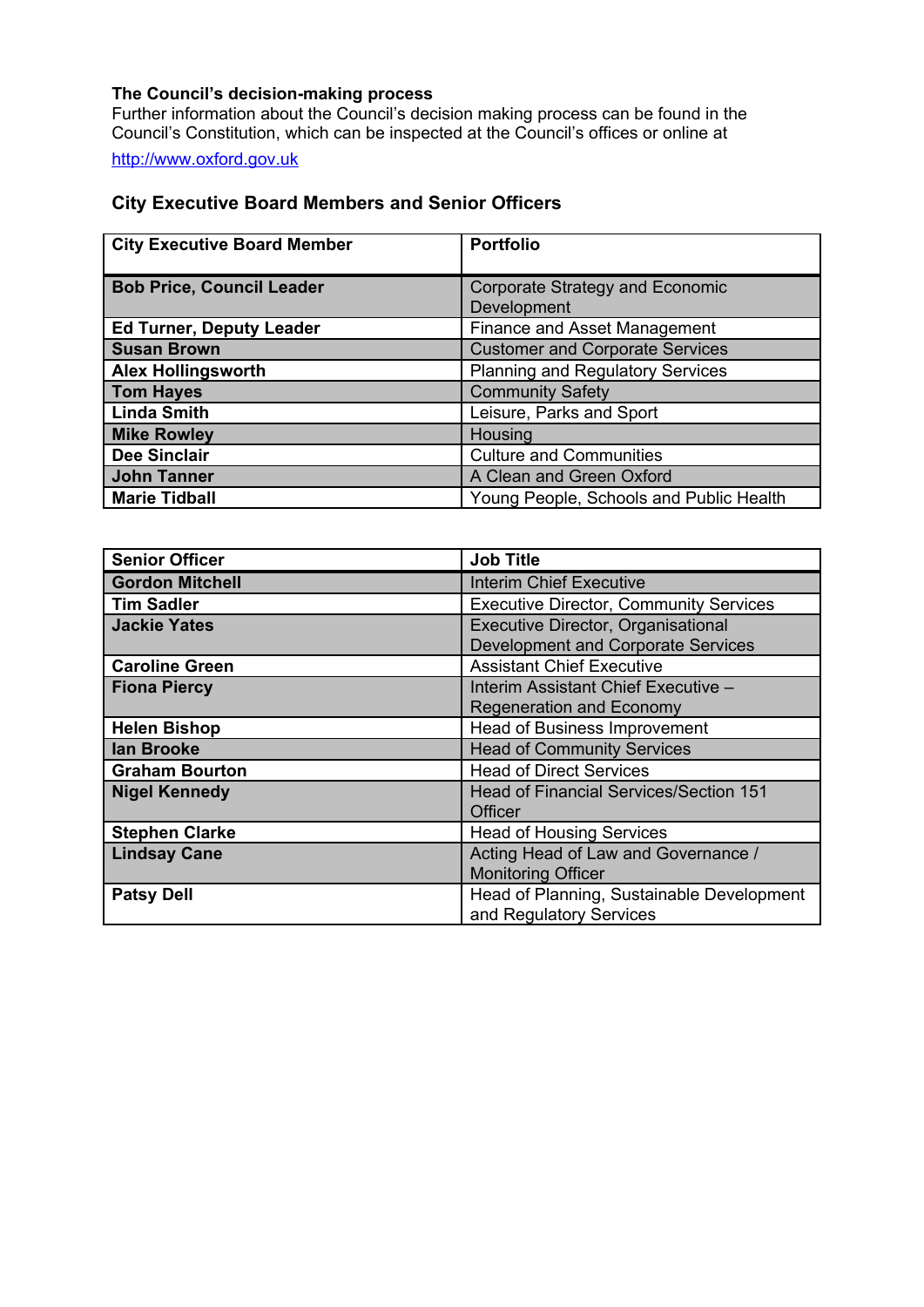#### **The Council's decision-making process**

Further information about the Council's decision making process can be found in the Council's Constitution, which can be inspected at the Council's offices or online at

[http://www.oxford.gov.uk](http://www.oxford.gov.uk/)

#### **City Executive Board Members and Senior Officers**

| <b>City Executive Board Member</b> | <b>Portfolio</b>                        |
|------------------------------------|-----------------------------------------|
|                                    |                                         |
| <b>Bob Price, Council Leader</b>   | Corporate Strategy and Economic         |
|                                    | Development                             |
| <b>Ed Turner, Deputy Leader</b>    | <b>Finance and Asset Management</b>     |
| <b>Susan Brown</b>                 | <b>Customer and Corporate Services</b>  |
| <b>Alex Hollingsworth</b>          | <b>Planning and Regulatory Services</b> |
| <b>Tom Hayes</b>                   | <b>Community Safety</b>                 |
| <b>Linda Smith</b>                 | Leisure, Parks and Sport                |
| <b>Mike Rowley</b>                 | Housing                                 |
| <b>Dee Sinclair</b>                | <b>Culture and Communities</b>          |
| <b>John Tanner</b>                 | A Clean and Green Oxford                |
| <b>Marie Tidball</b>               | Young People, Schools and Public Health |

| <b>Senior Officer</b>  | <b>Job Title</b>                              |
|------------------------|-----------------------------------------------|
| <b>Gordon Mitchell</b> | <b>Interim Chief Executive</b>                |
| <b>Tim Sadler</b>      | <b>Executive Director, Community Services</b> |
| <b>Jackie Yates</b>    | Executive Director, Organisational            |
|                        | <b>Development and Corporate Services</b>     |
| <b>Caroline Green</b>  | <b>Assistant Chief Executive</b>              |
| <b>Fiona Piercy</b>    | Interim Assistant Chief Executive -           |
|                        | <b>Regeneration and Economy</b>               |
| <b>Helen Bishop</b>    | Head of Business Improvement                  |
| lan Brooke             | <b>Head of Community Services</b>             |
| <b>Graham Bourton</b>  | <b>Head of Direct Services</b>                |
| <b>Nigel Kennedy</b>   | <b>Head of Financial Services/Section 151</b> |
|                        | Officer                                       |
| <b>Stephen Clarke</b>  | <b>Head of Housing Services</b>               |
| <b>Lindsay Cane</b>    | Acting Head of Law and Governance /           |
|                        | <b>Monitoring Officer</b>                     |
| <b>Patsy Dell</b>      | Head of Planning, Sustainable Development     |
|                        | and Regulatory Services                       |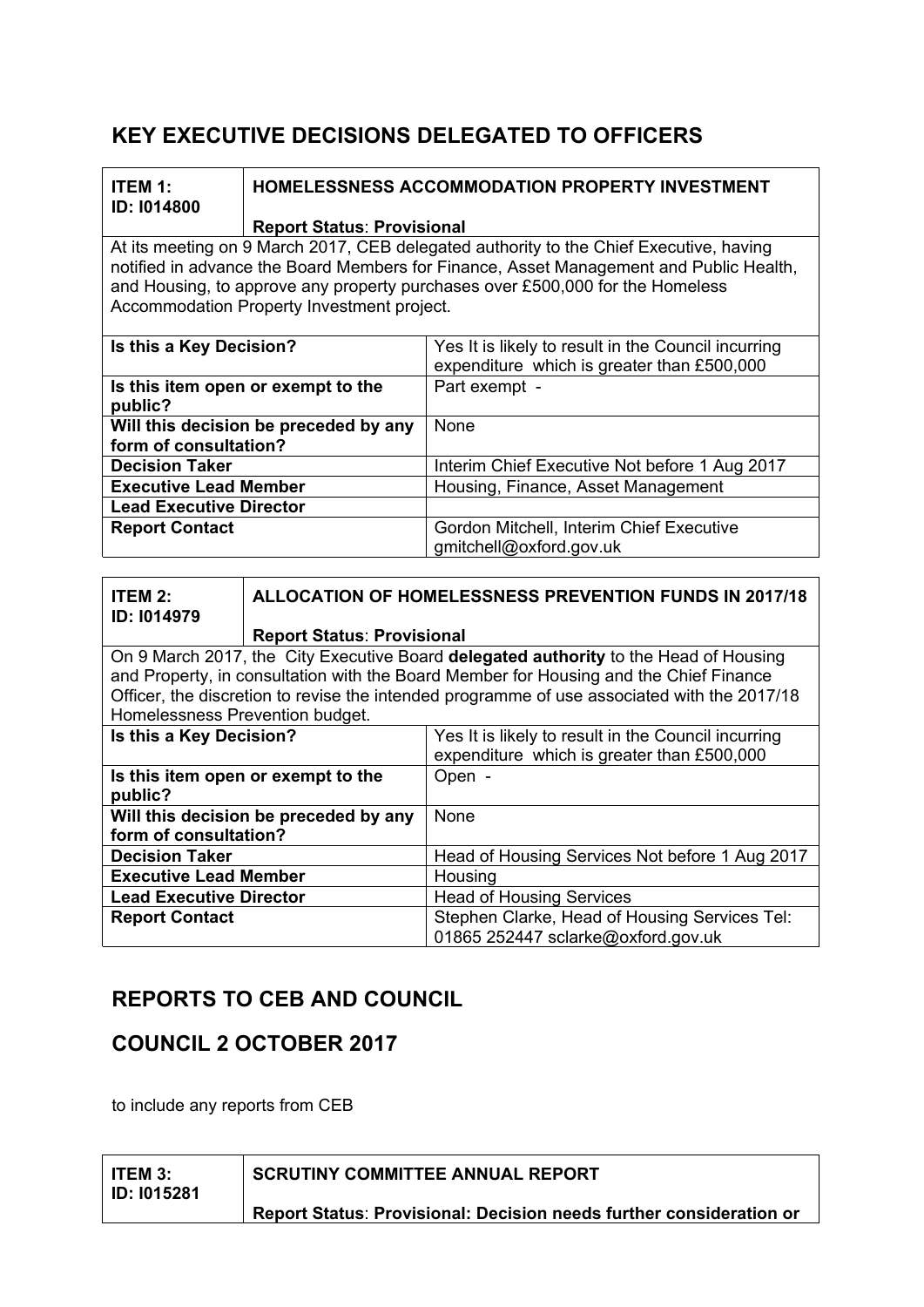## **KEY EXECUTIVE DECISIONS DELEGATED TO OFFICERS**

| <b>ITEM 1:</b><br>ID: 1014800                                                               |                                                                                                                           | <b>HOMELESSNESS ACCOMMODATION PROPERTY INVESTMENT</b>                                  |  |
|---------------------------------------------------------------------------------------------|---------------------------------------------------------------------------------------------------------------------------|----------------------------------------------------------------------------------------|--|
|                                                                                             | <b>Report Status: Provisional</b>                                                                                         |                                                                                        |  |
|                                                                                             |                                                                                                                           | At its meeting on 9 March 2017, CEB delegated authority to the Chief Executive, having |  |
|                                                                                             |                                                                                                                           | notified in advance the Board Members for Finance, Asset Management and Public Health, |  |
|                                                                                             |                                                                                                                           | and Housing, to approve any property purchases over £500,000 for the Homeless          |  |
|                                                                                             | Accommodation Property Investment project.                                                                                |                                                                                        |  |
|                                                                                             |                                                                                                                           |                                                                                        |  |
| Is this a Key Decision?                                                                     |                                                                                                                           | Yes It is likely to result in the Council incurring                                    |  |
|                                                                                             |                                                                                                                           | expenditure which is greater than £500,000                                             |  |
|                                                                                             | Is this item open or exempt to the                                                                                        | Part exempt -                                                                          |  |
| public?                                                                                     |                                                                                                                           |                                                                                        |  |
|                                                                                             | Will this decision be preceded by any                                                                                     | None                                                                                   |  |
| form of consultation?                                                                       |                                                                                                                           |                                                                                        |  |
| <b>Decision Taker</b>                                                                       |                                                                                                                           | Interim Chief Executive Not before 1 Aug 2017                                          |  |
| <b>Executive Lead Member</b>                                                                |                                                                                                                           | Housing, Finance, Asset Management                                                     |  |
| <b>Lead Executive Director</b>                                                              |                                                                                                                           |                                                                                        |  |
| <b>Report Contact</b>                                                                       |                                                                                                                           | Gordon Mitchell, Interim Chief Executive                                               |  |
|                                                                                             |                                                                                                                           | gmitchell@oxford.gov.uk                                                                |  |
|                                                                                             |                                                                                                                           |                                                                                        |  |
| <b>ITEM 2:</b>                                                                              |                                                                                                                           |                                                                                        |  |
| ID: I014979                                                                                 | <b>ALLOCATION OF HOMELESSNESS PREVENTION FUNDS IN 2017/18</b>                                                             |                                                                                        |  |
|                                                                                             |                                                                                                                           |                                                                                        |  |
|                                                                                             | <b>Report Status: Provisional</b><br>On 9 March 2017, the City Executive Board delegated authority to the Head of Housing |                                                                                        |  |
| and Property, in consultation with the Board Member for Housing and the Chief Finance       |                                                                                                                           |                                                                                        |  |
|                                                                                             |                                                                                                                           |                                                                                        |  |
| Officer, the discretion to revise the intended programme of use associated with the 2017/18 |                                                                                                                           |                                                                                        |  |
| Homelessness Prevention budget.<br>Is this a Key Decision?                                  |                                                                                                                           | Yes It is likely to result in the Council incurring                                    |  |
|                                                                                             |                                                                                                                           | expenditure which is greater than £500,000                                             |  |
|                                                                                             |                                                                                                                           |                                                                                        |  |
| Open -<br>Is this item open or exempt to the<br>public?                                     |                                                                                                                           |                                                                                        |  |
|                                                                                             | Will this decision be preceded by any                                                                                     | None                                                                                   |  |
| form of consultation?                                                                       |                                                                                                                           |                                                                                        |  |
| <b>Decision Taker</b>                                                                       |                                                                                                                           | Head of Housing Services Not before 1 Aug 2017                                         |  |
| <b>Executive Lead Member</b>                                                                |                                                                                                                           | Housing                                                                                |  |
| <b>Lead Executive Director</b>                                                              |                                                                                                                           | <b>Head of Housing Services</b>                                                        |  |
| <b>Report Contact</b>                                                                       |                                                                                                                           | Stephen Clarke, Head of Housing Services Tel:                                          |  |

## **REPORTS TO CEB AND COUNCIL**

## **COUNCIL 2 OCTOBER 2017**

to include any reports from CEB

| ITEM 3:<br><b>ID: I015281</b> | <b>SCRUTINY COMMITTEE ANNUAL REPORT</b>                             |
|-------------------------------|---------------------------------------------------------------------|
|                               | Report Status: Provisional: Decision needs further consideration or |

01865 252447 sclarke@oxford.gov.uk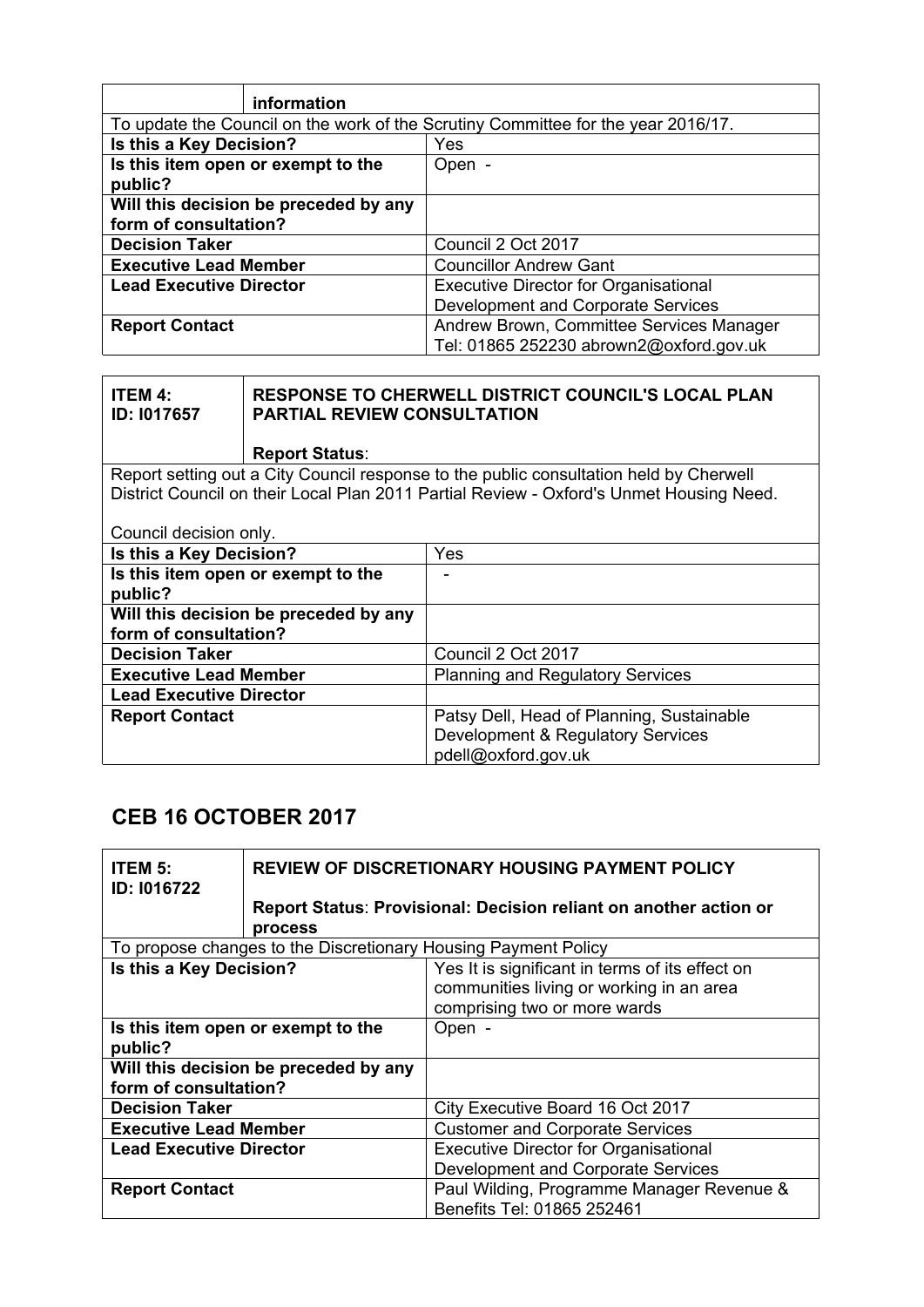| information                                                                       |                                              |
|-----------------------------------------------------------------------------------|----------------------------------------------|
| To update the Council on the work of the Scrutiny Committee for the year 2016/17. |                                              |
| Is this a Key Decision?                                                           | Yes                                          |
| Is this item open or exempt to the                                                | Open -                                       |
| public?                                                                           |                                              |
| Will this decision be preceded by any                                             |                                              |
| form of consultation?                                                             |                                              |
| <b>Decision Taker</b>                                                             | Council 2 Oct 2017                           |
| <b>Executive Lead Member</b>                                                      | <b>Councillor Andrew Gant</b>                |
| Lead Executive Director                                                           | <b>Executive Director for Organisational</b> |
|                                                                                   | Development and Corporate Services           |
| <b>Report Contact</b>                                                             | Andrew Brown, Committee Services Manager     |
|                                                                                   | Tel: 01865 252230 abrown2@oxford.gov.uk      |

| <b>ITEM 4:</b><br>ID: 1017657  | <b>PARTIAL REVIEW CONSULTATION</b>                                                     | <b>RESPONSE TO CHERWELL DISTRICT COUNCIL'S LOCAL PLAN</b>                               |
|--------------------------------|----------------------------------------------------------------------------------------|-----------------------------------------------------------------------------------------|
|                                | <b>Report Status:</b>                                                                  |                                                                                         |
|                                | Report setting out a City Council response to the public consultation held by Cherwell |                                                                                         |
|                                |                                                                                        | District Council on their Local Plan 2011 Partial Review - Oxford's Unmet Housing Need. |
|                                |                                                                                        |                                                                                         |
| Council decision only.         |                                                                                        |                                                                                         |
| Is this a Key Decision?        |                                                                                        | Yes                                                                                     |
|                                | Is this item open or exempt to the                                                     |                                                                                         |
| public?                        |                                                                                        |                                                                                         |
|                                | Will this decision be preceded by any                                                  |                                                                                         |
| form of consultation?          |                                                                                        |                                                                                         |
| <b>Decision Taker</b>          |                                                                                        | Council 2 Oct 2017                                                                      |
| <b>Executive Lead Member</b>   |                                                                                        | <b>Planning and Regulatory Services</b>                                                 |
| <b>Lead Executive Director</b> |                                                                                        |                                                                                         |
| <b>Report Contact</b>          |                                                                                        | Patsy Dell, Head of Planning, Sustainable                                               |
|                                |                                                                                        | Development & Regulatory Services                                                       |
|                                |                                                                                        | pdell@oxford.gov.uk                                                                     |
|                                |                                                                                        |                                                                                         |

# **CEB 16 OCTOBER 2017**

| <b>ITEM 5:</b><br><b>ID: I016722</b> | <b>REVIEW OF DISCRETIONARY HOUSING PAYMENT POLICY</b>                                                                       |                                                                         |
|--------------------------------------|-----------------------------------------------------------------------------------------------------------------------------|-------------------------------------------------------------------------|
|                                      | process                                                                                                                     | Report Status: Provisional: Decision reliant on another action or       |
|                                      |                                                                                                                             | To propose changes to the Discretionary Housing Payment Policy          |
| Is this a Key Decision?              | Yes It is significant in terms of its effect on<br>communities living or working in an area<br>comprising two or more wards |                                                                         |
| public?                              | Is this item open or exempt to the<br>Open -                                                                                |                                                                         |
|                                      | Will this decision be preceded by any<br>form of consultation?                                                              |                                                                         |
| <b>Decision Taker</b>                |                                                                                                                             | City Executive Board 16 Oct 2017                                        |
| <b>Executive Lead Member</b>         |                                                                                                                             | <b>Customer and Corporate Services</b>                                  |
| <b>Lead Executive Director</b>       |                                                                                                                             | <b>Executive Director for Organisational</b>                            |
|                                      |                                                                                                                             | Development and Corporate Services                                      |
| <b>Report Contact</b>                |                                                                                                                             | Paul Wilding, Programme Manager Revenue &<br>Benefits Tel: 01865 252461 |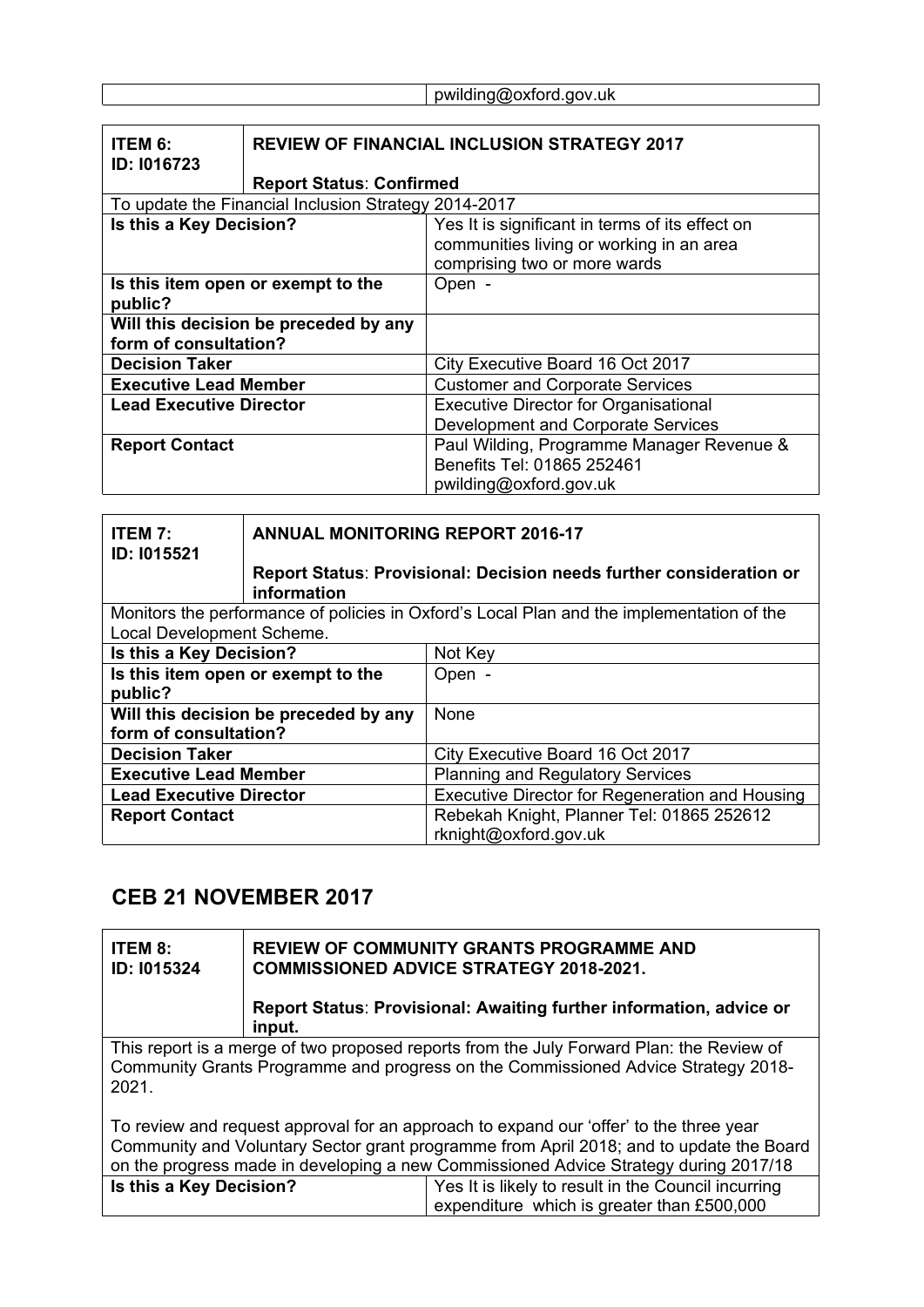#### pwilding@oxford.gov.uk

| ITEM 6:<br>ID: I016723         |                                                      | <b>REVIEW OF FINANCIAL INCLUSION STRATEGY 2017</b>                                                                          |
|--------------------------------|------------------------------------------------------|-----------------------------------------------------------------------------------------------------------------------------|
|                                | <b>Report Status: Confirmed</b>                      |                                                                                                                             |
|                                | To update the Financial Inclusion Strategy 2014-2017 |                                                                                                                             |
| Is this a Key Decision?        |                                                      | Yes It is significant in terms of its effect on<br>communities living or working in an area<br>comprising two or more wards |
| public?                        | Is this item open or exempt to the                   | Open -                                                                                                                      |
| form of consultation?          | Will this decision be preceded by any                |                                                                                                                             |
| <b>Decision Taker</b>          |                                                      | City Executive Board 16 Oct 2017                                                                                            |
| <b>Executive Lead Member</b>   |                                                      | <b>Customer and Corporate Services</b>                                                                                      |
| <b>Lead Executive Director</b> |                                                      | <b>Executive Director for Organisational</b>                                                                                |
|                                |                                                      | Development and Corporate Services                                                                                          |
| <b>Report Contact</b>          |                                                      | Paul Wilding, Programme Manager Revenue &                                                                                   |
|                                |                                                      | Benefits Tel: 01865 252461                                                                                                  |
|                                |                                                      | pwilding@oxford.gov.uk                                                                                                      |

| <b>ITEM 7:</b><br><b>ID: I015521</b>  | <b>ANNUAL MONITORING REPORT 2016-17</b>                                                   |                                                                     |
|---------------------------------------|-------------------------------------------------------------------------------------------|---------------------------------------------------------------------|
|                                       | information                                                                               | Report Status: Provisional: Decision needs further consideration or |
|                                       | Monitors the performance of policies in Oxford's Local Plan and the implementation of the |                                                                     |
| Local Development Scheme.             |                                                                                           |                                                                     |
| Is this a Key Decision?               |                                                                                           | Not Key                                                             |
|                                       | Is this item open or exempt to the<br>Open -                                              |                                                                     |
| public?                               |                                                                                           |                                                                     |
| Will this decision be preceded by any |                                                                                           | None                                                                |
| form of consultation?                 |                                                                                           |                                                                     |
| <b>Decision Taker</b>                 |                                                                                           | City Executive Board 16 Oct 2017                                    |
| <b>Executive Lead Member</b>          |                                                                                           | <b>Planning and Regulatory Services</b>                             |
| <b>Lead Executive Director</b>        |                                                                                           | Executive Director for Regeneration and Housing                     |
| <b>Report Contact</b>                 |                                                                                           | Rebekah Knight, Planner Tel: 01865 252612                           |
|                                       |                                                                                           | rknight@oxford.gov.uk                                               |

# **CEB 21 NOVEMBER 2017**

| <b>ITEM 8:</b><br>ID: 1015324                                                                                                                                                                                                                                             |        | <b>REVIEW OF COMMUNITY GRANTS PROGRAMME AND</b><br><b>COMMISSIONED ADVICE STRATEGY 2018-2021.</b><br>Report Status: Provisional: Awaiting further information, advice or |
|---------------------------------------------------------------------------------------------------------------------------------------------------------------------------------------------------------------------------------------------------------------------------|--------|--------------------------------------------------------------------------------------------------------------------------------------------------------------------------|
|                                                                                                                                                                                                                                                                           | input. |                                                                                                                                                                          |
| This report is a merge of two proposed reports from the July Forward Plan: the Review of<br>Community Grants Programme and progress on the Commissioned Advice Strategy 2018-<br>2021.                                                                                    |        |                                                                                                                                                                          |
| To review and request approval for an approach to expand our 'offer' to the three year<br>Community and Voluntary Sector grant programme from April 2018; and to update the Board<br>on the progress made in developing a new Commissioned Advice Strategy during 2017/18 |        |                                                                                                                                                                          |
| Is this a Key Decision?                                                                                                                                                                                                                                                   |        | Yes It is likely to result in the Council incurring                                                                                                                      |
|                                                                                                                                                                                                                                                                           |        | expenditure which is greater than £500,000                                                                                                                               |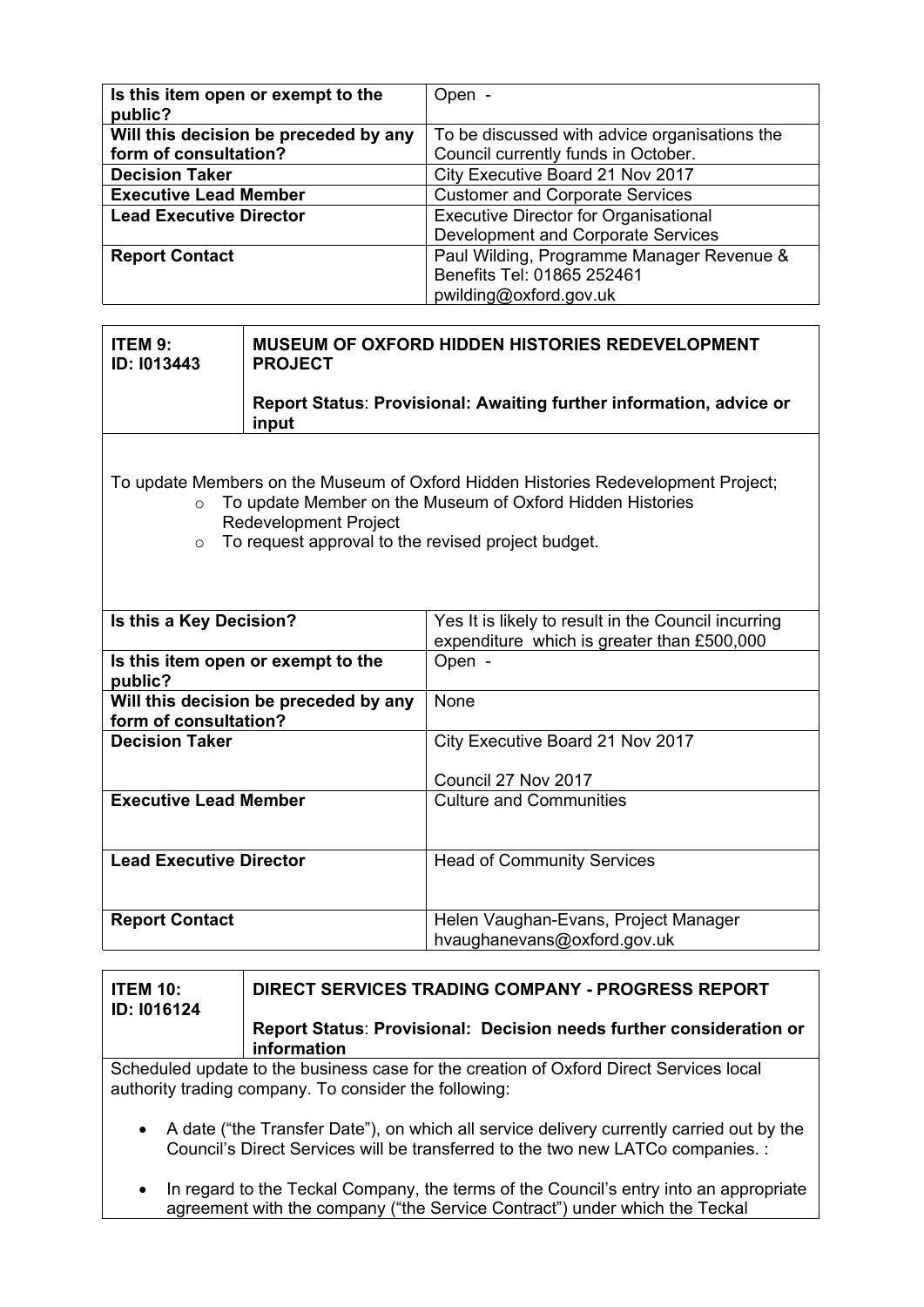| Is this item open or exempt to the<br>public? | Open -                                        |
|-----------------------------------------------|-----------------------------------------------|
| Will this decision be preceded by any         | To be discussed with advice organisations the |
| form of consultation?                         | Council currently funds in October.           |
| <b>Decision Taker</b>                         | City Executive Board 21 Nov 2017              |
| <b>Executive Lead Member</b>                  | <b>Customer and Corporate Services</b>        |
| <b>Lead Executive Director</b>                | <b>Executive Director for Organisational</b>  |
|                                               | Development and Corporate Services            |
| <b>Report Contact</b>                         | Paul Wilding, Programme Manager Revenue &     |
|                                               | Benefits Tel: 01865 252461                    |
|                                               | pwilding@oxford.gov.uk                        |

| ITEM 9:<br><b>ID: 1013443</b>                                                                                                                                                                                                                               | <b>MUSEUM OF OXFORD HIDDEN HISTORIES REDEVELOPMENT</b><br><b>PROJECT</b>                                                     |                                                                     |
|-------------------------------------------------------------------------------------------------------------------------------------------------------------------------------------------------------------------------------------------------------------|------------------------------------------------------------------------------------------------------------------------------|---------------------------------------------------------------------|
|                                                                                                                                                                                                                                                             | input                                                                                                                        | Report Status: Provisional: Awaiting further information, advice or |
| To update Members on the Museum of Oxford Hidden Histories Redevelopment Project;<br>To update Member on the Museum of Oxford Hidden Histories<br>$\circ$<br><b>Redevelopment Project</b><br>To request approval to the revised project budget.<br>$\Omega$ |                                                                                                                              |                                                                     |
|                                                                                                                                                                                                                                                             | Is this a Key Decision?<br>Yes It is likely to result in the Council incurring<br>expenditure which is greater than £500,000 |                                                                     |
| Is this item open or exempt to the<br>Open -<br>public?                                                                                                                                                                                                     |                                                                                                                              |                                                                     |
| form of consultation?                                                                                                                                                                                                                                       | Will this decision be preceded by any                                                                                        | None                                                                |
| <b>Decision Taker</b>                                                                                                                                                                                                                                       |                                                                                                                              | City Executive Board 21 Nov 2017                                    |
|                                                                                                                                                                                                                                                             |                                                                                                                              | Council 27 Nov 2017                                                 |
| <b>Executive Lead Member</b>                                                                                                                                                                                                                                |                                                                                                                              | <b>Culture and Communities</b>                                      |
| <b>Lead Executive Director</b>                                                                                                                                                                                                                              |                                                                                                                              | <b>Head of Community Services</b>                                   |
| <b>Report Contact</b>                                                                                                                                                                                                                                       |                                                                                                                              | Helen Vaughan-Evans, Project Manager<br>hvaughanevans@oxford.gov.uk |

| <b>ITEM 10:</b><br>ID: I016124                                                                                                                                                           | <b>DIRECT SERVICES TRADING COMPANY - PROGRESS REPORT</b>                           |  |
|------------------------------------------------------------------------------------------------------------------------------------------------------------------------------------------|------------------------------------------------------------------------------------|--|
|                                                                                                                                                                                          | Report Status: Provisional: Decision needs further consideration or<br>information |  |
| Scheduled update to the business case for the creation of Oxford Direct Services local<br>authority trading company. To consider the following:                                          |                                                                                    |  |
| A date ("the Transfer Date"), on which all service delivery currently carried out by the<br>$\bullet$<br>Council's Direct Services will be transferred to the two new LATCo companies. : |                                                                                    |  |

• In regard to the Teckal Company, the terms of the Council's entry into an appropriate agreement with the company ("the Service Contract") under which the Teckal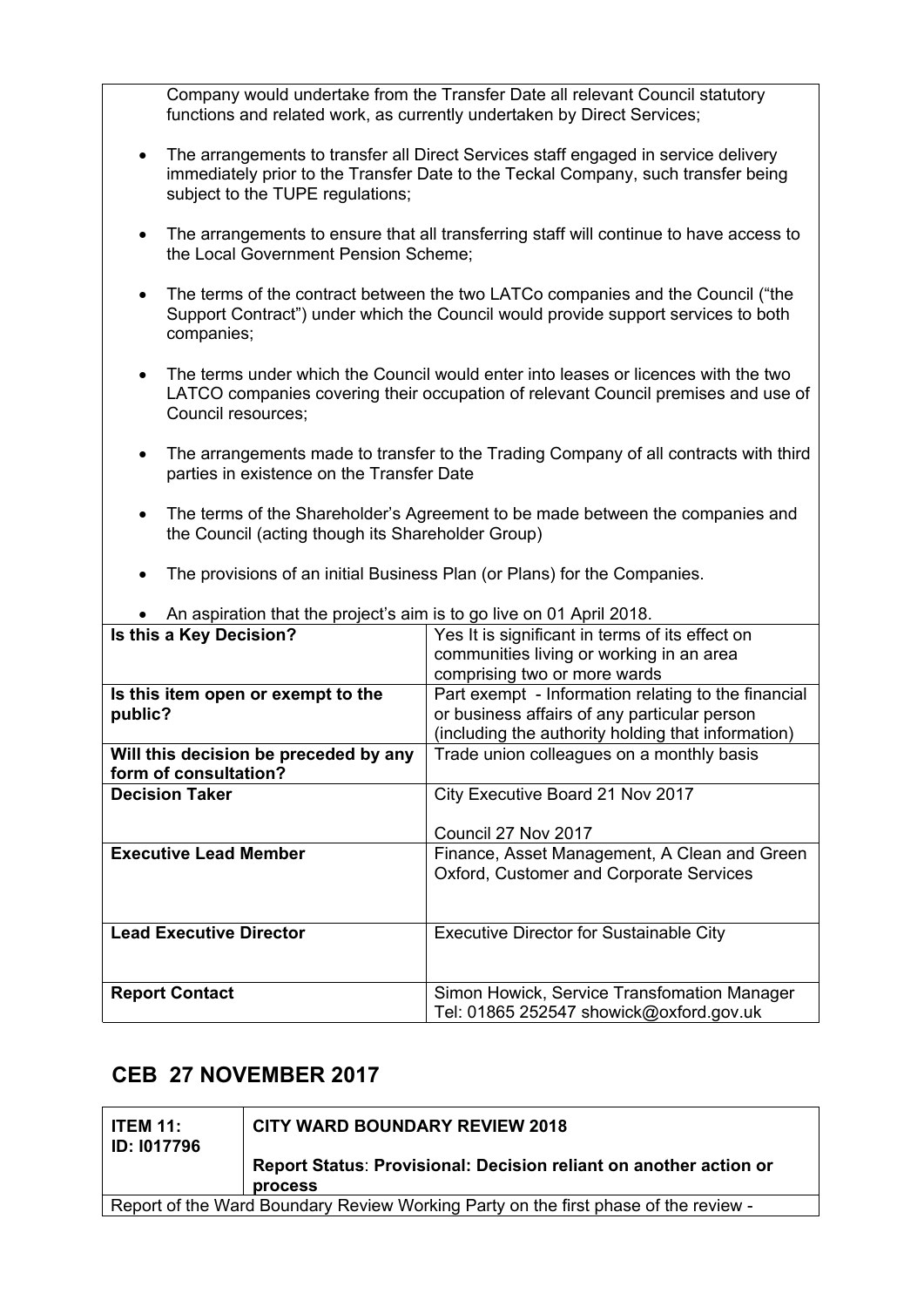Company would undertake from the Transfer Date all relevant Council statutory functions and related work, as currently undertaken by Direct Services;

- The arrangements to transfer all Direct Services staff engaged in service delivery immediately prior to the Transfer Date to the Teckal Company, such transfer being subject to the TUPE regulations;
- The arrangements to ensure that all transferring staff will continue to have access to the Local Government Pension Scheme;
- The terms of the contract between the two LATCo companies and the Council ("the Support Contract") under which the Council would provide support services to both companies;
- The terms under which the Council would enter into leases or licences with the two LATCO companies covering their occupation of relevant Council premises and use of Council resources;
- The arrangements made to transfer to the Trading Company of all contracts with third parties in existence on the Transfer Date
- The terms of the Shareholder's Agreement to be made between the companies and the Council (acting though its Shareholder Group)
- The provisions of an initial Business Plan (or Plans) for the Companies.

| Is this a Key Decision?<br>Yes It is significant in terms of its effect on<br>communities living or working in an area<br>comprising two or more wards<br>Part exempt - Information relating to the financial<br>Is this item open or exempt to the<br>or business affairs of any particular person<br>public?<br>(including the authority holding that information)<br>Trade union colleagues on a monthly basis<br>Will this decision be preceded by any<br>form of consultation?<br><b>Decision Taker</b><br>City Executive Board 21 Nov 2017<br>Council 27 Nov 2017<br><b>Executive Lead Member</b><br>Finance, Asset Management, A Clean and Green<br>Oxford, Customer and Corporate Services<br><b>Lead Executive Director</b><br><b>Executive Director for Sustainable City</b><br><b>Report Contact</b><br>Simon Howick, Service Transfomation Manager<br>Tel: 01865 252547 showick@oxford.gov.uk | All aspiration that the project's all is to go live on OT April 2010. |  |  |
|-----------------------------------------------------------------------------------------------------------------------------------------------------------------------------------------------------------------------------------------------------------------------------------------------------------------------------------------------------------------------------------------------------------------------------------------------------------------------------------------------------------------------------------------------------------------------------------------------------------------------------------------------------------------------------------------------------------------------------------------------------------------------------------------------------------------------------------------------------------------------------------------------------------|-----------------------------------------------------------------------|--|--|
|                                                                                                                                                                                                                                                                                                                                                                                                                                                                                                                                                                                                                                                                                                                                                                                                                                                                                                           |                                                                       |  |  |
|                                                                                                                                                                                                                                                                                                                                                                                                                                                                                                                                                                                                                                                                                                                                                                                                                                                                                                           |                                                                       |  |  |
|                                                                                                                                                                                                                                                                                                                                                                                                                                                                                                                                                                                                                                                                                                                                                                                                                                                                                                           |                                                                       |  |  |
|                                                                                                                                                                                                                                                                                                                                                                                                                                                                                                                                                                                                                                                                                                                                                                                                                                                                                                           |                                                                       |  |  |
|                                                                                                                                                                                                                                                                                                                                                                                                                                                                                                                                                                                                                                                                                                                                                                                                                                                                                                           |                                                                       |  |  |
|                                                                                                                                                                                                                                                                                                                                                                                                                                                                                                                                                                                                                                                                                                                                                                                                                                                                                                           |                                                                       |  |  |
|                                                                                                                                                                                                                                                                                                                                                                                                                                                                                                                                                                                                                                                                                                                                                                                                                                                                                                           |                                                                       |  |  |
|                                                                                                                                                                                                                                                                                                                                                                                                                                                                                                                                                                                                                                                                                                                                                                                                                                                                                                           |                                                                       |  |  |
|                                                                                                                                                                                                                                                                                                                                                                                                                                                                                                                                                                                                                                                                                                                                                                                                                                                                                                           |                                                                       |  |  |
|                                                                                                                                                                                                                                                                                                                                                                                                                                                                                                                                                                                                                                                                                                                                                                                                                                                                                                           |                                                                       |  |  |
|                                                                                                                                                                                                                                                                                                                                                                                                                                                                                                                                                                                                                                                                                                                                                                                                                                                                                                           |                                                                       |  |  |
|                                                                                                                                                                                                                                                                                                                                                                                                                                                                                                                                                                                                                                                                                                                                                                                                                                                                                                           |                                                                       |  |  |
|                                                                                                                                                                                                                                                                                                                                                                                                                                                                                                                                                                                                                                                                                                                                                                                                                                                                                                           |                                                                       |  |  |
|                                                                                                                                                                                                                                                                                                                                                                                                                                                                                                                                                                                                                                                                                                                                                                                                                                                                                                           |                                                                       |  |  |
|                                                                                                                                                                                                                                                                                                                                                                                                                                                                                                                                                                                                                                                                                                                                                                                                                                                                                                           |                                                                       |  |  |
|                                                                                                                                                                                                                                                                                                                                                                                                                                                                                                                                                                                                                                                                                                                                                                                                                                                                                                           |                                                                       |  |  |
|                                                                                                                                                                                                                                                                                                                                                                                                                                                                                                                                                                                                                                                                                                                                                                                                                                                                                                           |                                                                       |  |  |
|                                                                                                                                                                                                                                                                                                                                                                                                                                                                                                                                                                                                                                                                                                                                                                                                                                                                                                           |                                                                       |  |  |
|                                                                                                                                                                                                                                                                                                                                                                                                                                                                                                                                                                                                                                                                                                                                                                                                                                                                                                           |                                                                       |  |  |
|                                                                                                                                                                                                                                                                                                                                                                                                                                                                                                                                                                                                                                                                                                                                                                                                                                                                                                           |                                                                       |  |  |

An aspiration that the project's aim is to go live on 01 April 2018.

#### **CEB 27 NOVEMBER 2017**

| <b>ITEM 11:</b><br><b>ID: 1017796</b>                                               | <b>CITY WARD BOUNDARY REVIEW 2018</b>                             |  |
|-------------------------------------------------------------------------------------|-------------------------------------------------------------------|--|
|                                                                                     | Report Status: Provisional: Decision reliant on another action or |  |
|                                                                                     | <b>process</b>                                                    |  |
| Report of the Ward Boundary Review Working Party on the first phase of the review - |                                                                   |  |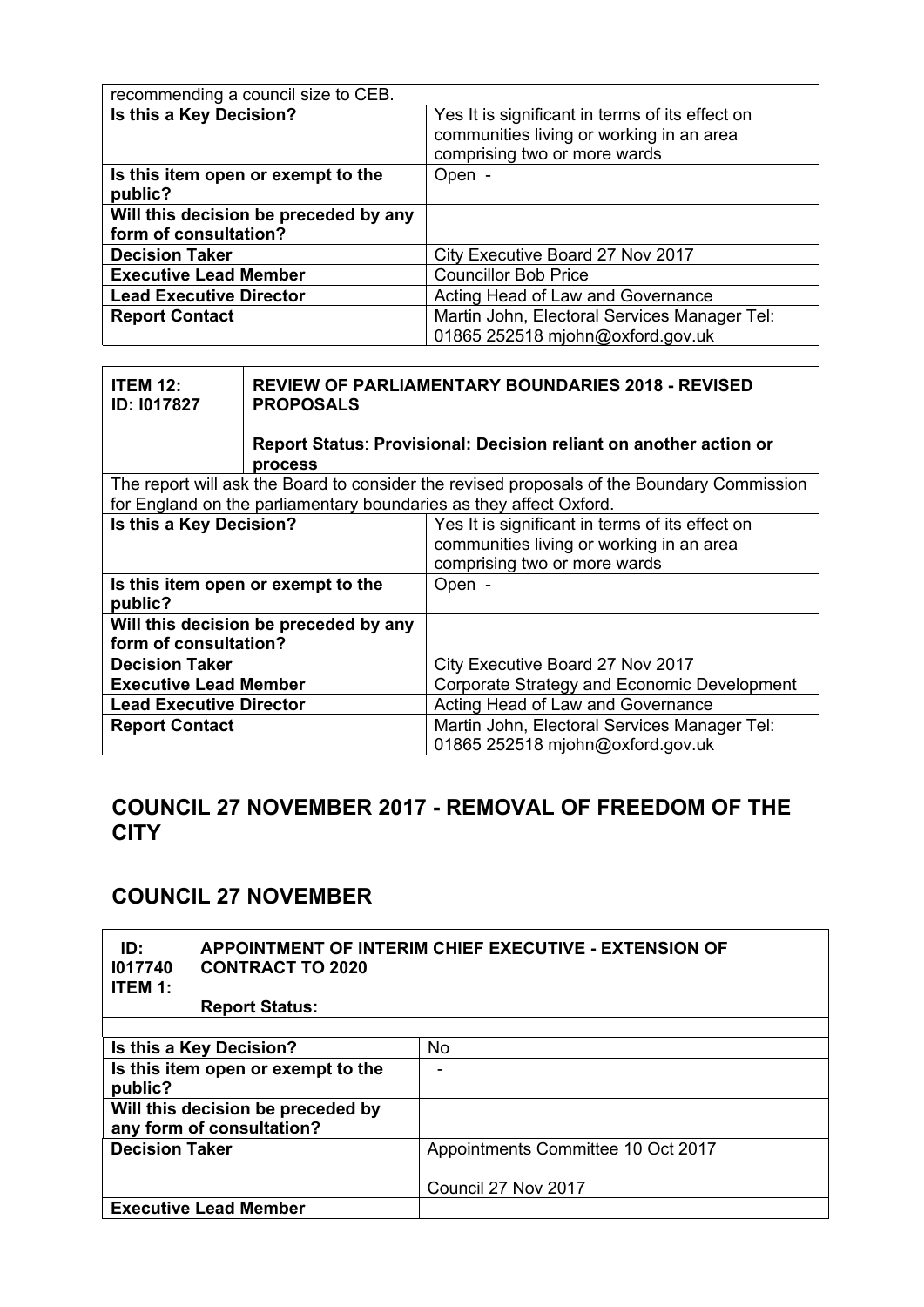| recommending a council size to CEB.           |                                                                                                                             |
|-----------------------------------------------|-----------------------------------------------------------------------------------------------------------------------------|
| Is this a Key Decision?                       | Yes It is significant in terms of its effect on<br>communities living or working in an area<br>comprising two or more wards |
| Is this item open or exempt to the<br>public? | Open -                                                                                                                      |
| Will this decision be preceded by any         |                                                                                                                             |
| form of consultation?                         |                                                                                                                             |
| <b>Decision Taker</b>                         | City Executive Board 27 Nov 2017                                                                                            |
| <b>Executive Lead Member</b>                  | <b>Councillor Bob Price</b>                                                                                                 |
| <b>Lead Executive Director</b>                | Acting Head of Law and Governance                                                                                           |
| <b>Report Contact</b>                         | Martin John, Electoral Services Manager Tel:                                                                                |
|                                               | 01865 252518 mjohn@oxford.gov.uk                                                                                            |

| <b>ITEM 12:</b><br>ID: I017827                | <b>REVIEW OF PARLIAMENTARY BOUNDARIES 2018 - REVISED</b><br><b>PROPOSALS</b> |                                                                                            |
|-----------------------------------------------|------------------------------------------------------------------------------|--------------------------------------------------------------------------------------------|
|                                               | process                                                                      | Report Status: Provisional: Decision reliant on another action or                          |
|                                               |                                                                              | The report will ask the Board to consider the revised proposals of the Boundary Commission |
|                                               |                                                                              | for England on the parliamentary boundaries as they affect Oxford.                         |
| Is this a Key Decision?                       |                                                                              | Yes It is significant in terms of its effect on                                            |
|                                               |                                                                              | communities living or working in an area                                                   |
|                                               |                                                                              | comprising two or more wards                                                               |
| Is this item open or exempt to the<br>public? |                                                                              | Open -                                                                                     |
| Will this decision be preceded by any         |                                                                              |                                                                                            |
| form of consultation?                         |                                                                              |                                                                                            |
| <b>Decision Taker</b>                         |                                                                              | City Executive Board 27 Nov 2017                                                           |
| <b>Executive Lead Member</b>                  |                                                                              | Corporate Strategy and Economic Development                                                |
| <b>Lead Executive Director</b>                |                                                                              | Acting Head of Law and Governance                                                          |
| <b>Report Contact</b>                         |                                                                              | Martin John, Electoral Services Manager Tel:                                               |
|                                               |                                                                              | 01865 252518 mjohn@oxford.gov.uk                                                           |

#### **COUNCIL 27 NOVEMBER 2017 - REMOVAL OF FREEDOM OF THE CITY**

## **COUNCIL 27 NOVEMBER**

| ID:<br>1017740<br><b>ITEM 1:</b>                               | APPOINTMENT OF INTERIM CHIEF EXECUTIVE - EXTENSION OF<br><b>CONTRACT TO 2020</b><br><b>Report Status:</b> |                                    |
|----------------------------------------------------------------|-----------------------------------------------------------------------------------------------------------|------------------------------------|
|                                                                |                                                                                                           |                                    |
|                                                                | Is this a Key Decision?                                                                                   | No                                 |
| Is this item open or exempt to the<br>public?                  |                                                                                                           |                                    |
| Will this decision be preceded by<br>any form of consultation? |                                                                                                           |                                    |
| <b>Decision Taker</b>                                          |                                                                                                           | Appointments Committee 10 Oct 2017 |
|                                                                |                                                                                                           | Council 27 Nov 2017                |
| <b>Executive Lead Member</b>                                   |                                                                                                           |                                    |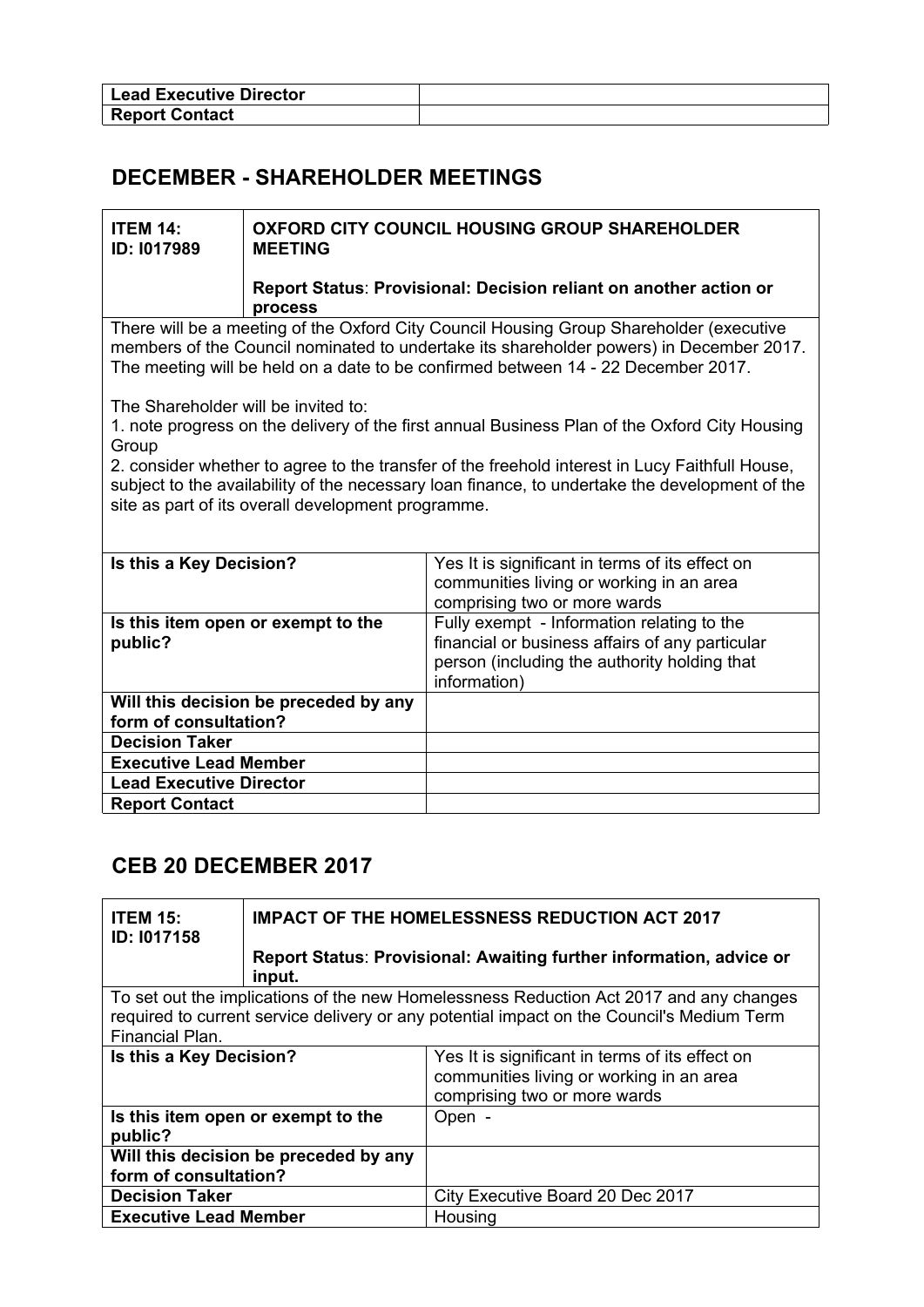| <b>Lead Executive Director</b> |  |
|--------------------------------|--|
| <b>Report Contact</b>          |  |

## **DECEMBER - SHAREHOLDER MEETINGS**

| <b>ITEM 14:</b><br>ID: 1017989                                                                                                                                                                                                                         | <b>MEETING</b>                     | <b>OXFORD CITY COUNCIL HOUSING GROUP SHAREHOLDER</b>                                                                                                                                                                                                                    |
|--------------------------------------------------------------------------------------------------------------------------------------------------------------------------------------------------------------------------------------------------------|------------------------------------|-------------------------------------------------------------------------------------------------------------------------------------------------------------------------------------------------------------------------------------------------------------------------|
|                                                                                                                                                                                                                                                        | process                            | Report Status: Provisional: Decision reliant on another action or                                                                                                                                                                                                       |
|                                                                                                                                                                                                                                                        |                                    | There will be a meeting of the Oxford City Council Housing Group Shareholder (executive<br>members of the Council nominated to undertake its shareholder powers) in December 2017.<br>The meeting will be held on a date to be confirmed between 14 - 22 December 2017. |
| The Shareholder will be invited to:<br>Group                                                                                                                                                                                                           |                                    | 1. note progress on the delivery of the first annual Business Plan of the Oxford City Housing                                                                                                                                                                           |
| 2. consider whether to agree to the transfer of the freehold interest in Lucy Faithfull House,<br>subject to the availability of the necessary loan finance, to undertake the development of the<br>site as part of its overall development programme. |                                    |                                                                                                                                                                                                                                                                         |
| Is this a Key Decision?                                                                                                                                                                                                                                |                                    | Yes It is significant in terms of its effect on<br>communities living or working in an area<br>comprising two or more wards                                                                                                                                             |
| public?                                                                                                                                                                                                                                                | Is this item open or exempt to the | Fully exempt - Information relating to the<br>financial or business affairs of any particular<br>person (including the authority holding that<br>information)                                                                                                           |
| Will this decision be preceded by any<br>form of consultation?                                                                                                                                                                                         |                                    |                                                                                                                                                                                                                                                                         |
| <b>Decision Taker</b>                                                                                                                                                                                                                                  |                                    |                                                                                                                                                                                                                                                                         |
| <b>Executive Lead Member</b>                                                                                                                                                                                                                           |                                    |                                                                                                                                                                                                                                                                         |
| <b>Lead Executive Director</b>                                                                                                                                                                                                                         |                                    |                                                                                                                                                                                                                                                                         |
| <b>Report Contact</b>                                                                                                                                                                                                                                  |                                    |                                                                                                                                                                                                                                                                         |

#### **CEB 20 DECEMBER 2017**

| <b>ITEM 15:</b><br><b>ID: 1017158</b>                                                                        | <b>IMPACT OF THE HOMELESSNESS REDUCTION ACT 2017</b>                                   |                                                                                                                             |
|--------------------------------------------------------------------------------------------------------------|----------------------------------------------------------------------------------------|-----------------------------------------------------------------------------------------------------------------------------|
|                                                                                                              | input.                                                                                 | Report Status: Provisional: Awaiting further information, advice or                                                         |
|                                                                                                              | To set out the implications of the new Homelessness Reduction Act 2017 and any changes |                                                                                                                             |
| required to current service delivery or any potential impact on the Council's Medium Term<br>Financial Plan. |                                                                                        |                                                                                                                             |
| Is this a Key Decision?                                                                                      |                                                                                        | Yes It is significant in terms of its effect on<br>communities living or working in an area<br>comprising two or more wards |
| Is this item open or exempt to the<br>public?                                                                |                                                                                        | Open -                                                                                                                      |
| Will this decision be preceded by any                                                                        |                                                                                        |                                                                                                                             |
| form of consultation?                                                                                        |                                                                                        |                                                                                                                             |
| <b>Decision Taker</b>                                                                                        |                                                                                        | City Executive Board 20 Dec 2017                                                                                            |
| <b>Executive Lead Member</b>                                                                                 |                                                                                        | Housing                                                                                                                     |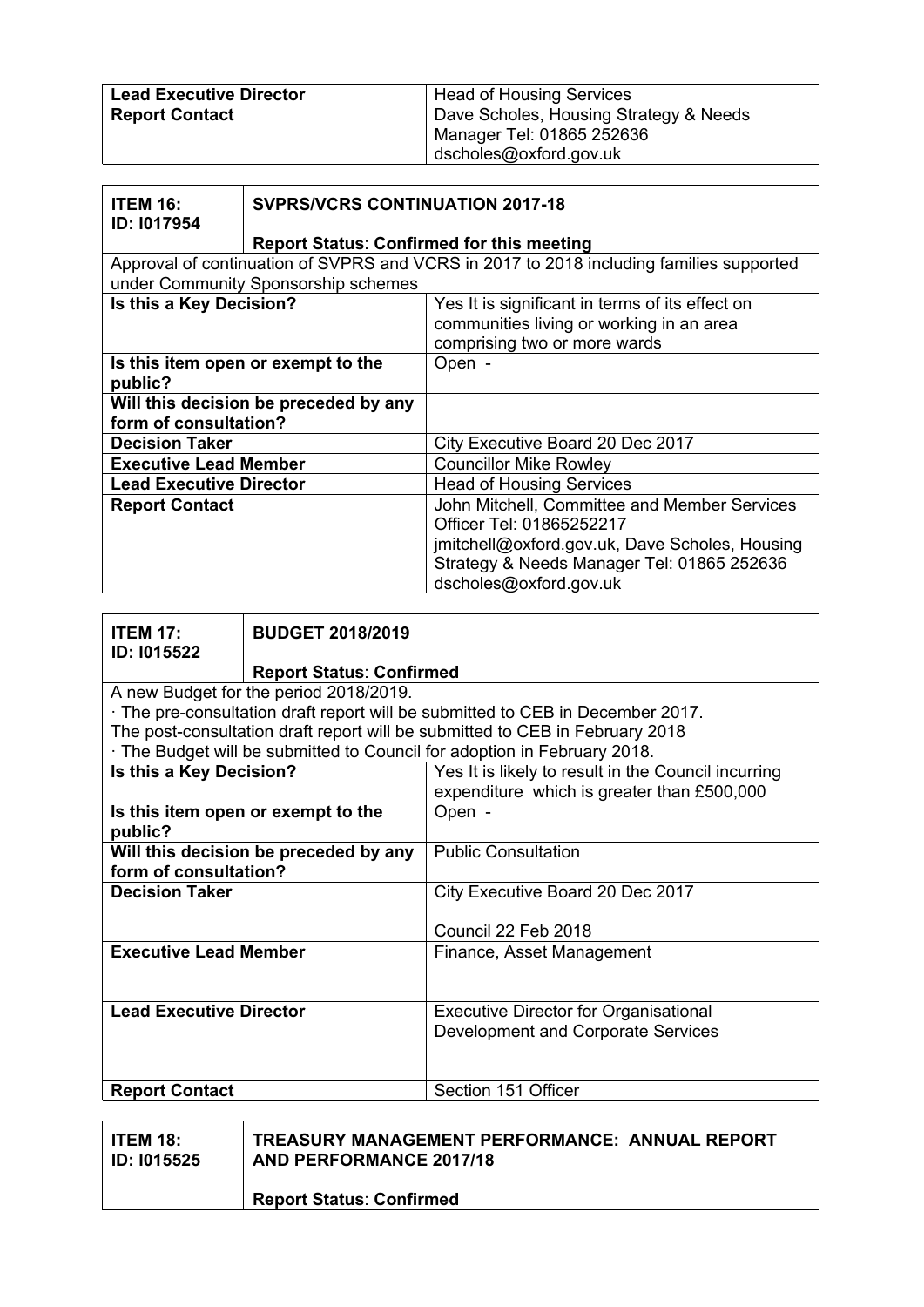| <b>Lead Executive Director</b> | <b>Head of Housing Services</b>        |
|--------------------------------|----------------------------------------|
| <b>Report Contact</b>          | Dave Scholes, Housing Strategy & Needs |
|                                | Manager Tel: 01865 252636              |
|                                | dscholes@oxford.gov.uk                 |

| <b>ITEM 16:</b><br>ID: 1017954                                 | <b>SVPRS/VCRS CONTINUATION 2017-18</b>           |                                                                                                                                                                                                    |
|----------------------------------------------------------------|--------------------------------------------------|----------------------------------------------------------------------------------------------------------------------------------------------------------------------------------------------------|
|                                                                | <b>Report Status: Confirmed for this meeting</b> |                                                                                                                                                                                                    |
|                                                                | under Community Sponsorship schemes              | Approval of continuation of SVPRS and VCRS in 2017 to 2018 including families supported                                                                                                            |
| Is this a Key Decision?                                        |                                                  | Yes It is significant in terms of its effect on<br>communities living or working in an area<br>comprising two or more wards                                                                        |
| Is this item open or exempt to the<br>public?                  |                                                  | Open -                                                                                                                                                                                             |
| Will this decision be preceded by any<br>form of consultation? |                                                  |                                                                                                                                                                                                    |
| <b>Decision Taker</b>                                          |                                                  | City Executive Board 20 Dec 2017                                                                                                                                                                   |
| <b>Executive Lead Member</b>                                   |                                                  | <b>Councillor Mike Rowley</b>                                                                                                                                                                      |
| <b>Lead Executive Director</b>                                 |                                                  | <b>Head of Housing Services</b>                                                                                                                                                                    |
| <b>Report Contact</b>                                          |                                                  | John Mitchell, Committee and Member Services<br>Officer Tel: 01865252217<br>jmitchell@oxford.gov.uk, Dave Scholes, Housing<br>Strategy & Needs Manager Tel: 01865 252636<br>dscholes@oxford.gov.uk |

| <b>ITEM 17:</b><br>ID: 1015522        | <b>BUDGET 2018/2019</b>                |                                                                                |
|---------------------------------------|----------------------------------------|--------------------------------------------------------------------------------|
|                                       | <b>Report Status: Confirmed</b>        |                                                                                |
|                                       | A new Budget for the period 2018/2019. |                                                                                |
|                                       |                                        | · The pre-consultation draft report will be submitted to CEB in December 2017. |
|                                       |                                        | The post-consultation draft report will be submitted to CEB in February 2018   |
|                                       |                                        | The Budget will be submitted to Council for adoption in February 2018.         |
| Is this a Key Decision?               |                                        | Yes It is likely to result in the Council incurring                            |
|                                       |                                        | expenditure which is greater than £500,000                                     |
|                                       | Is this item open or exempt to the     | Open -                                                                         |
| public?                               |                                        |                                                                                |
| Will this decision be preceded by any |                                        | <b>Public Consultation</b>                                                     |
| form of consultation?                 |                                        |                                                                                |
| <b>Decision Taker</b>                 |                                        | City Executive Board 20 Dec 2017                                               |
|                                       |                                        |                                                                                |
|                                       |                                        | Council 22 Feb 2018                                                            |
| <b>Executive Lead Member</b>          |                                        | Finance, Asset Management                                                      |
|                                       |                                        |                                                                                |
|                                       |                                        |                                                                                |
| <b>Lead Executive Director</b>        |                                        | <b>Executive Director for Organisational</b>                                   |
|                                       |                                        | Development and Corporate Services                                             |
|                                       |                                        |                                                                                |
|                                       |                                        |                                                                                |
| <b>Report Contact</b>                 |                                        | Section 151 Officer                                                            |

| ∣ ITEM 18:  | TREASURY MANAGEMENT PERFORMANCE: ANNUAL REPORT |  |
|-------------|------------------------------------------------|--|
| ID: 1015525 | AND PERFORMANCE 2017/18                        |  |
|             | <b>Report Status: Confirmed</b>                |  |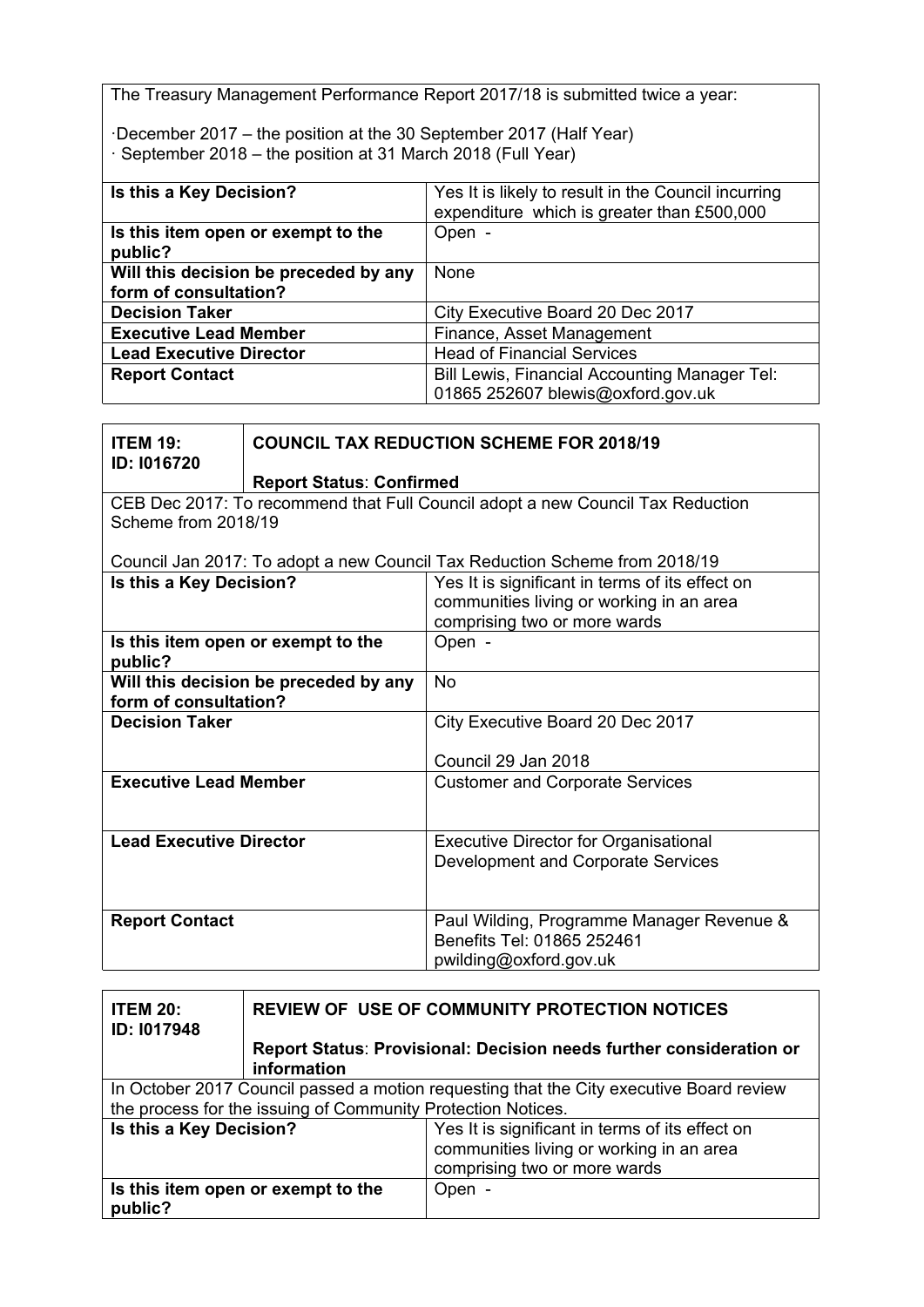The Treasury Management Performance Report 2017/18 is submitted twice a year:

·December 2017 – the position at the 30 September 2017 (Half Year) · September 2018 – the position at 31 March 2018 (Full Year)

| Is this a Key Decision?               | Yes It is likely to result in the Council incurring<br>expenditure which is greater than £500,000 |
|---------------------------------------|---------------------------------------------------------------------------------------------------|
| Is this item open or exempt to the    | Open -                                                                                            |
| public?                               |                                                                                                   |
| Will this decision be preceded by any | None                                                                                              |
| form of consultation?                 |                                                                                                   |
| <b>Decision Taker</b>                 | City Executive Board 20 Dec 2017                                                                  |
| <b>Executive Lead Member</b>          | Finance, Asset Management                                                                         |
| <b>Lead Executive Director</b>        | <b>Head of Financial Services</b>                                                                 |
| <b>Report Contact</b>                 | <b>Bill Lewis, Financial Accounting Manager Tel:</b>                                              |
|                                       | 01865 252607 blewis@oxford.gov.uk                                                                 |

| <b>ITEM 19:</b><br>ID: I016720                                 | <b>COUNCIL TAX REDUCTION SCHEME FOR 2018/19</b> |                                                                                                                             |
|----------------------------------------------------------------|-------------------------------------------------|-----------------------------------------------------------------------------------------------------------------------------|
|                                                                | <b>Report Status: Confirmed</b>                 |                                                                                                                             |
| Scheme from 2018/19                                            |                                                 | CEB Dec 2017: To recommend that Full Council adopt a new Council Tax Reduction                                              |
|                                                                |                                                 | Council Jan 2017: To adopt a new Council Tax Reduction Scheme from 2018/19                                                  |
| Is this a Key Decision?                                        |                                                 | Yes It is significant in terms of its effect on<br>communities living or working in an area<br>comprising two or more wards |
| Is this item open or exempt to the<br>public?                  |                                                 | Open -                                                                                                                      |
| Will this decision be preceded by any<br>form of consultation? |                                                 | <b>No</b>                                                                                                                   |
| <b>Decision Taker</b>                                          |                                                 | City Executive Board 20 Dec 2017<br>Council 29 Jan 2018                                                                     |
| <b>Executive Lead Member</b>                                   |                                                 | <b>Customer and Corporate Services</b>                                                                                      |
| <b>Lead Executive Director</b>                                 |                                                 | <b>Executive Director for Organisational</b><br>Development and Corporate Services                                          |
| <b>Report Contact</b>                                          |                                                 | Paul Wilding, Programme Manager Revenue &<br>Benefits Tel: 01865 252461<br>pwilding@oxford.gov.uk                           |

| <b>ITEM 20:</b><br><b>ID: 1017948</b>                                                                                                                   | <b>REVIEW OF USE OF COMMUNITY PROTECTION NOTICES</b>                               |        |  |
|---------------------------------------------------------------------------------------------------------------------------------------------------------|------------------------------------------------------------------------------------|--------|--|
|                                                                                                                                                         | Report Status: Provisional: Decision needs further consideration or<br>information |        |  |
| In October 2017 Council passed a motion requesting that the City executive Board review<br>the process for the issuing of Community Protection Notices. |                                                                                    |        |  |
| Is this a Key Decision?<br>Yes It is significant in terms of its effect on<br>communities living or working in an area<br>comprising two or more wards  |                                                                                    |        |  |
| public?                                                                                                                                                 | Is this item open or exempt to the                                                 | Open - |  |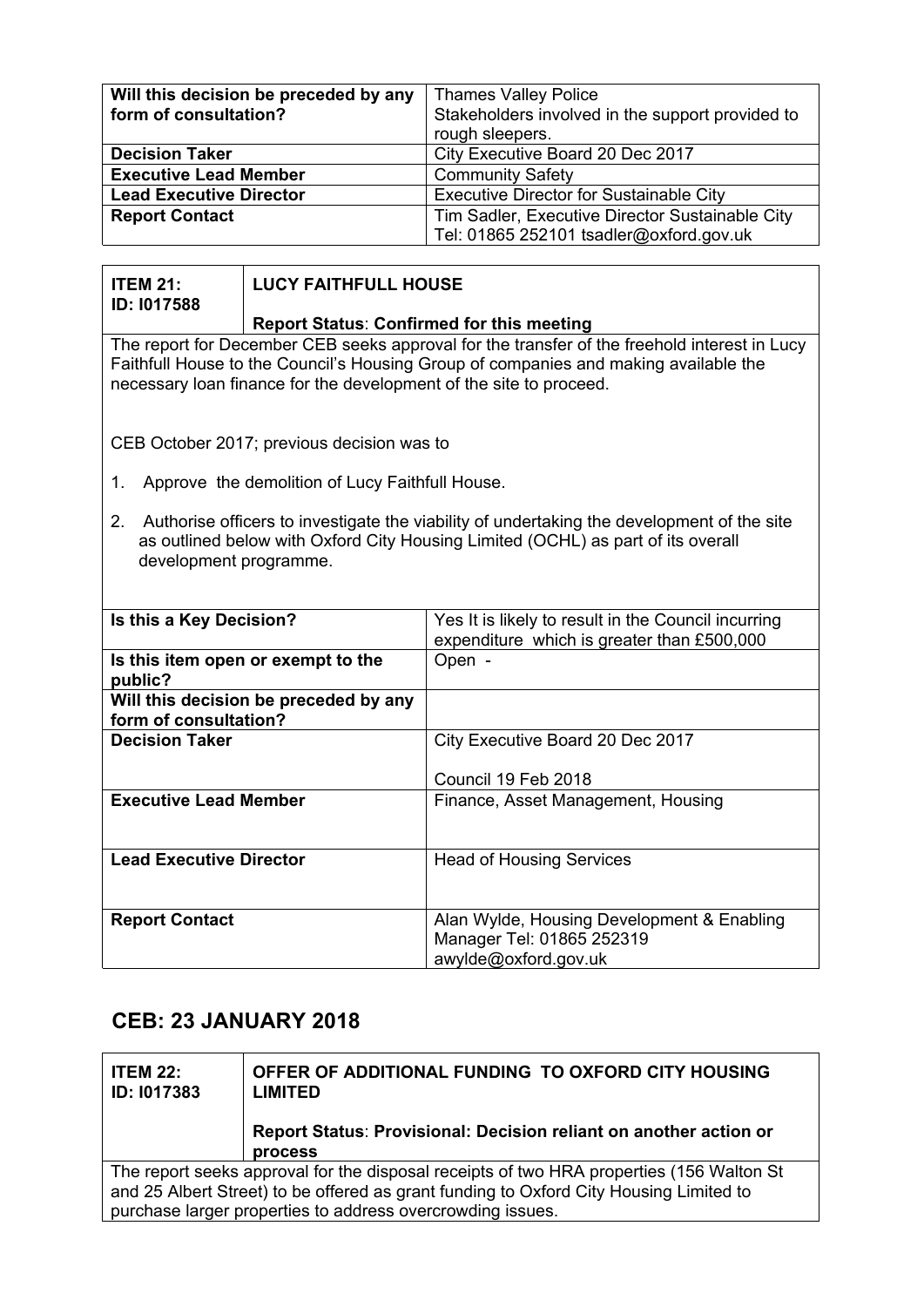| Will this decision be preceded by any | <b>Thames Valley Police</b>                      |
|---------------------------------------|--------------------------------------------------|
| form of consultation?                 | Stakeholders involved in the support provided to |
|                                       | rough sleepers.                                  |
| <b>Decision Taker</b>                 | City Executive Board 20 Dec 2017                 |
| <b>Executive Lead Member</b>          | <b>Community Safety</b>                          |
| <b>Lead Executive Director</b>        | Executive Director for Sustainable City          |
| <b>Report Contact</b>                 | Tim Sadler, Executive Director Sustainable City  |
|                                       | Tel: 01865 252101 tsadler@oxford.gov.uk          |

| <b>ITEM 21:</b><br>ID: 1017588                                                                                                                                                                                                                             | <b>LUCY FAITHFULL HOUSE</b>                     |                                                                                                   |
|------------------------------------------------------------------------------------------------------------------------------------------------------------------------------------------------------------------------------------------------------------|-------------------------------------------------|---------------------------------------------------------------------------------------------------|
| Report Status: Confirmed for this meeting                                                                                                                                                                                                                  |                                                 |                                                                                                   |
| The report for December CEB seeks approval for the transfer of the freehold interest in Lucy<br>Faithfull House to the Council's Housing Group of companies and making available the<br>necessary loan finance for the development of the site to proceed. |                                                 |                                                                                                   |
| CEB October 2017; previous decision was to                                                                                                                                                                                                                 |                                                 |                                                                                                   |
| 1.                                                                                                                                                                                                                                                         | Approve the demolition of Lucy Faithfull House. |                                                                                                   |
| Authorise officers to investigate the viability of undertaking the development of the site<br>2.<br>as outlined below with Oxford City Housing Limited (OCHL) as part of its overall<br>development programme.                                             |                                                 |                                                                                                   |
| Is this a Key Decision?                                                                                                                                                                                                                                    |                                                 | Yes It is likely to result in the Council incurring<br>expenditure which is greater than £500,000 |
| Is this item open or exempt to the<br>public?                                                                                                                                                                                                              |                                                 | Open -                                                                                            |
| Will this decision be preceded by any<br>form of consultation?                                                                                                                                                                                             |                                                 |                                                                                                   |
| <b>Decision Taker</b>                                                                                                                                                                                                                                      |                                                 | City Executive Board 20 Dec 2017                                                                  |
|                                                                                                                                                                                                                                                            |                                                 | Council 19 Feb 2018                                                                               |
| <b>Executive Lead Member</b>                                                                                                                                                                                                                               |                                                 | Finance, Asset Management, Housing                                                                |
| <b>Lead Executive Director</b>                                                                                                                                                                                                                             |                                                 | <b>Head of Housing Services</b>                                                                   |
| <b>Report Contact</b>                                                                                                                                                                                                                                      |                                                 | Alan Wylde, Housing Development & Enabling<br>Manager Tel: 01865 252319<br>awylde@oxford.gov.uk   |

# **CEB: 23 JANUARY 2018**

| <b>ITEM 22:</b><br>ID: 1017383                                                         | OFFER OF ADDITIONAL FUNDING TO OXFORD CITY HOUSING<br><b>LIMITED</b>                     |  |  |
|----------------------------------------------------------------------------------------|------------------------------------------------------------------------------------------|--|--|
|                                                                                        | Report Status: Provisional: Decision reliant on another action or                        |  |  |
|                                                                                        | <b>process</b>                                                                           |  |  |
|                                                                                        | The report seeks approval for the disposal receipts of two HRA properties (156 Walton St |  |  |
| and 25 Albert Street) to be offered as grant funding to Oxford City Housing Limited to |                                                                                          |  |  |
|                                                                                        | purchase larger properties to address overcrowding issues.                               |  |  |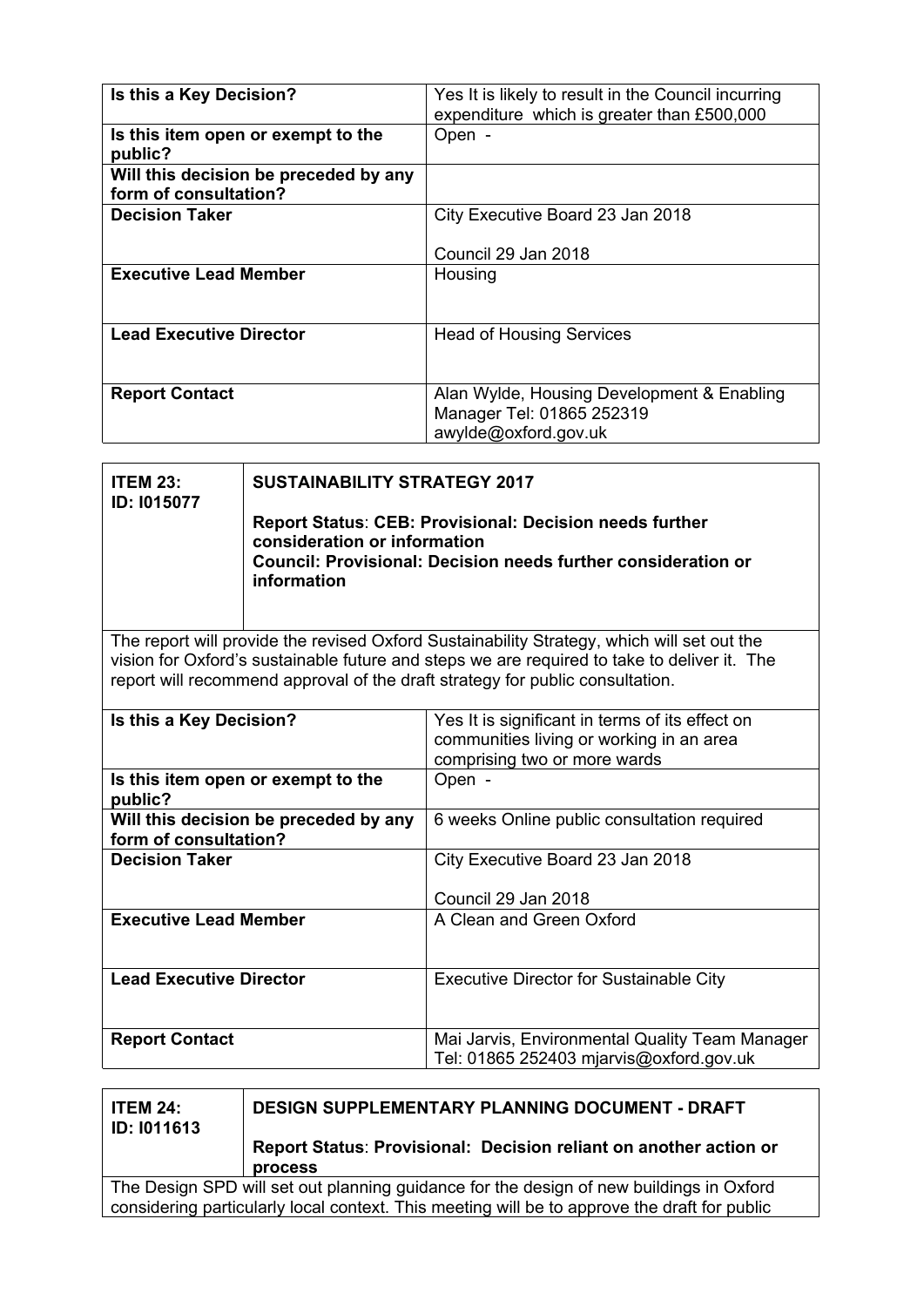| Is this a Key Decision?               | Yes It is likely to result in the Council incurring |
|---------------------------------------|-----------------------------------------------------|
|                                       | expenditure which is greater than £500,000          |
| Is this item open or exempt to the    | Open -                                              |
| public?                               |                                                     |
| Will this decision be preceded by any |                                                     |
| form of consultation?                 |                                                     |
| <b>Decision Taker</b>                 | City Executive Board 23 Jan 2018                    |
|                                       |                                                     |
|                                       | Council 29 Jan 2018                                 |
| <b>Executive Lead Member</b>          | Housing                                             |
|                                       |                                                     |
|                                       |                                                     |
| <b>Lead Executive Director</b>        | <b>Head of Housing Services</b>                     |
|                                       |                                                     |
|                                       |                                                     |
| <b>Report Contact</b>                 | Alan Wylde, Housing Development & Enabling          |
|                                       | Manager Tel: 01865 252319                           |
|                                       | awylde@oxford.gov.uk                                |

| <b>ITEM 23:</b>                                                | <b>SUSTAINABILITY STRATEGY 2017</b>                                                                                                                                            |                                                                                                                                                                              |
|----------------------------------------------------------------|--------------------------------------------------------------------------------------------------------------------------------------------------------------------------------|------------------------------------------------------------------------------------------------------------------------------------------------------------------------------|
| ID: 1015077                                                    | <b>Report Status: CEB: Provisional: Decision needs further</b><br>consideration or information<br>Council: Provisional: Decision needs further consideration or<br>information |                                                                                                                                                                              |
|                                                                |                                                                                                                                                                                | The report will provide the revised Oxford Sustainability Strategy, which will set out the                                                                                   |
|                                                                |                                                                                                                                                                                | vision for Oxford's sustainable future and steps we are required to take to deliver it. The<br>report will recommend approval of the draft strategy for public consultation. |
|                                                                |                                                                                                                                                                                |                                                                                                                                                                              |
| Is this a Key Decision?                                        |                                                                                                                                                                                | Yes It is significant in terms of its effect on<br>communities living or working in an area<br>comprising two or more wards                                                  |
| Is this item open or exempt to the<br>public?                  |                                                                                                                                                                                | Open -                                                                                                                                                                       |
| Will this decision be preceded by any<br>form of consultation? |                                                                                                                                                                                | 6 weeks Online public consultation required                                                                                                                                  |
| <b>Decision Taker</b>                                          |                                                                                                                                                                                | City Executive Board 23 Jan 2018                                                                                                                                             |
|                                                                |                                                                                                                                                                                | Council 29 Jan 2018                                                                                                                                                          |
| <b>Executive Lead Member</b>                                   |                                                                                                                                                                                | A Clean and Green Oxford                                                                                                                                                     |
| <b>Lead Executive Director</b>                                 |                                                                                                                                                                                | <b>Executive Director for Sustainable City</b>                                                                                                                               |
| <b>Report Contact</b>                                          |                                                                                                                                                                                | Mai Jarvis, Environmental Quality Team Manager<br>Tel: 01865 252403 mjarvis@oxford.gov.uk                                                                                    |

| <b>ITEM 24:</b><br><b>ID: 1011613</b>                                                        | <b>DESIGN SUPPLEMENTARY PLANNING DOCUMENT - DRAFT</b>                               |  |
|----------------------------------------------------------------------------------------------|-------------------------------------------------------------------------------------|--|
|                                                                                              | Report Status: Provisional: Decision reliant on another action or<br><b>process</b> |  |
| The Design SPD will set out planning guidance for the design of new buildings in Oxford      |                                                                                     |  |
| considering particularly local context. This meeting will be to approve the draft for public |                                                                                     |  |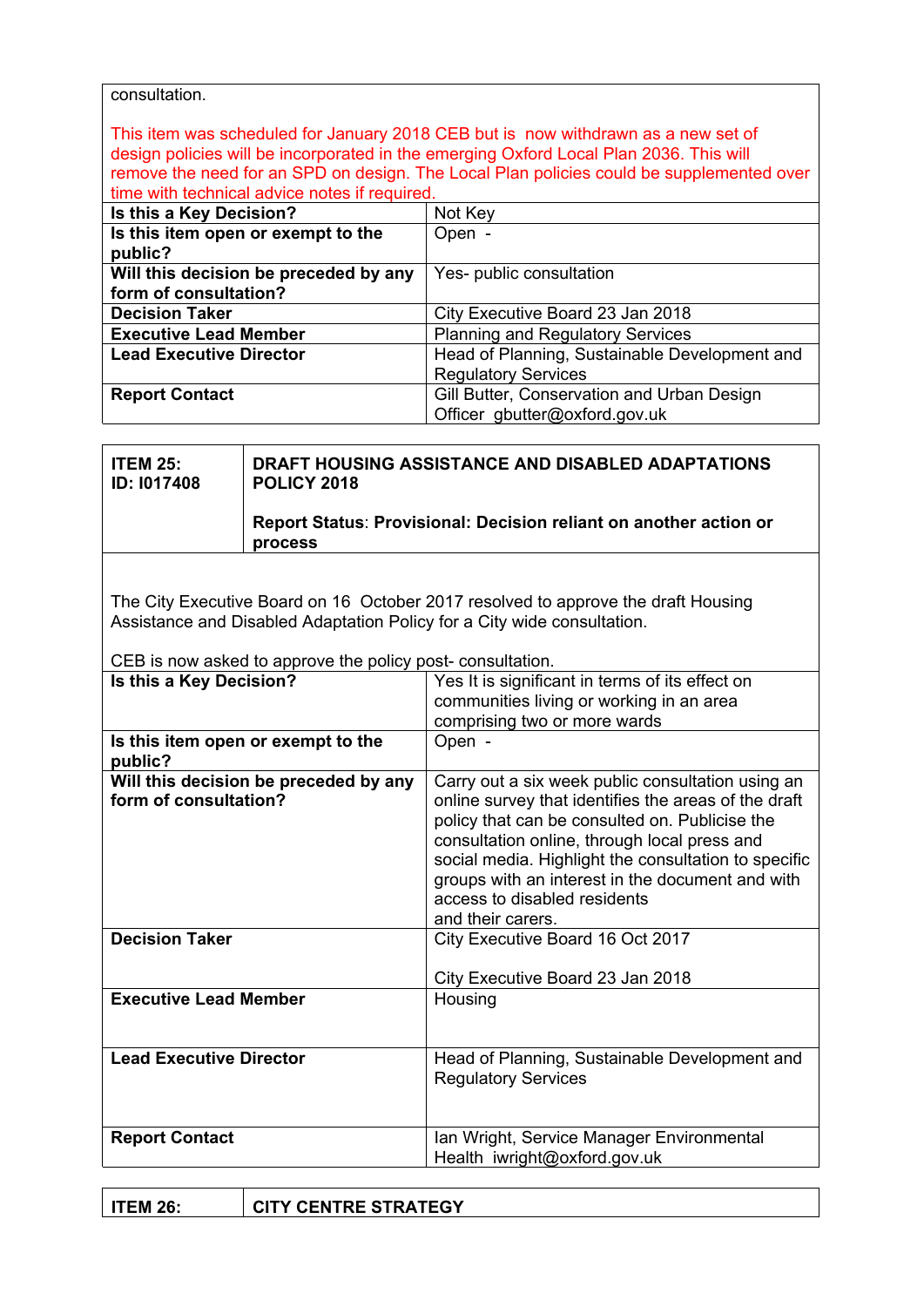| consultation.                                             |                                                                         |                                                                                           |
|-----------------------------------------------------------|-------------------------------------------------------------------------|-------------------------------------------------------------------------------------------|
|                                                           |                                                                         | This item was scheduled for January 2018 CEB but is now withdrawn as a new set of         |
|                                                           |                                                                         | design policies will be incorporated in the emerging Oxford Local Plan 2036. This will    |
|                                                           |                                                                         | remove the need for an SPD on design. The Local Plan policies could be supplemented over  |
|                                                           | time with technical advice notes if required.                           |                                                                                           |
| Is this a Key Decision?                                   |                                                                         | Not Key                                                                                   |
| public?                                                   | Is this item open or exempt to the                                      | Open -                                                                                    |
| form of consultation?                                     | Will this decision be preceded by any                                   | Yes- public consultation                                                                  |
| <b>Decision Taker</b>                                     |                                                                         | City Executive Board 23 Jan 2018                                                          |
| <b>Executive Lead Member</b>                              |                                                                         | <b>Planning and Regulatory Services</b>                                                   |
| <b>Lead Executive Director</b>                            |                                                                         | Head of Planning, Sustainable Development and<br><b>Regulatory Services</b>               |
| <b>Report Contact</b>                                     |                                                                         | Gill Butter, Conservation and Urban Design<br>Officer gbutter@oxford.gov.uk               |
|                                                           |                                                                         |                                                                                           |
| <b>ITEM 25:</b><br><b>ID: 1017408</b>                     | DRAFT HOUSING ASSISTANCE AND DISABLED ADAPTATIONS<br><b>POLICY 2018</b> |                                                                                           |
|                                                           | process                                                                 | Report Status: Provisional: Decision reliant on another action or                         |
|                                                           |                                                                         |                                                                                           |
|                                                           |                                                                         |                                                                                           |
|                                                           |                                                                         | The City Executive Board on 16 October 2017 resolved to approve the draft Housing         |
|                                                           |                                                                         | Assistance and Disabled Adaptation Policy for a City wide consultation.                   |
| CEB is now asked to approve the policy post-consultation. |                                                                         |                                                                                           |
| Is this a Key Decision?                                   |                                                                         | Yes It is significant in terms of its effect on                                           |
|                                                           |                                                                         | communities living or working in an area                                                  |
|                                                           |                                                                         | comprising two or more wards                                                              |
| Is this item open or exempt to the<br>public?             |                                                                         | Open -                                                                                    |
|                                                           |                                                                         | Will this decision be preceded by any   Carry out a six week public consultation using an |
| form of consultation?                                     |                                                                         | online survey that identifies the areas of the draft                                      |
|                                                           |                                                                         | policy that can be consulted on. Publicise the                                            |
|                                                           |                                                                         | consultation online, through local press and                                              |
|                                                           |                                                                         | social media. Highlight the consultation to specific                                      |
|                                                           |                                                                         | groups with an interest in the document and with                                          |
|                                                           |                                                                         | access to disabled residents                                                              |
|                                                           |                                                                         | and their carers.                                                                         |
| <b>Decision Taker</b>                                     |                                                                         | City Executive Board 16 Oct 2017                                                          |
|                                                           |                                                                         | City Executive Board 23 Jan 2018                                                          |
| <b>Executive Lead Member</b>                              |                                                                         | Housing                                                                                   |
|                                                           |                                                                         |                                                                                           |
| <b>Lead Executive Director</b>                            |                                                                         |                                                                                           |
|                                                           |                                                                         | Head of Planning, Sustainable Development and<br><b>Regulatory Services</b>               |
| <b>Report Contact</b>                                     |                                                                         | Ian Wright, Service Manager Environmental                                                 |
|                                                           |                                                                         | Health iwright@oxford.gov.uk                                                              |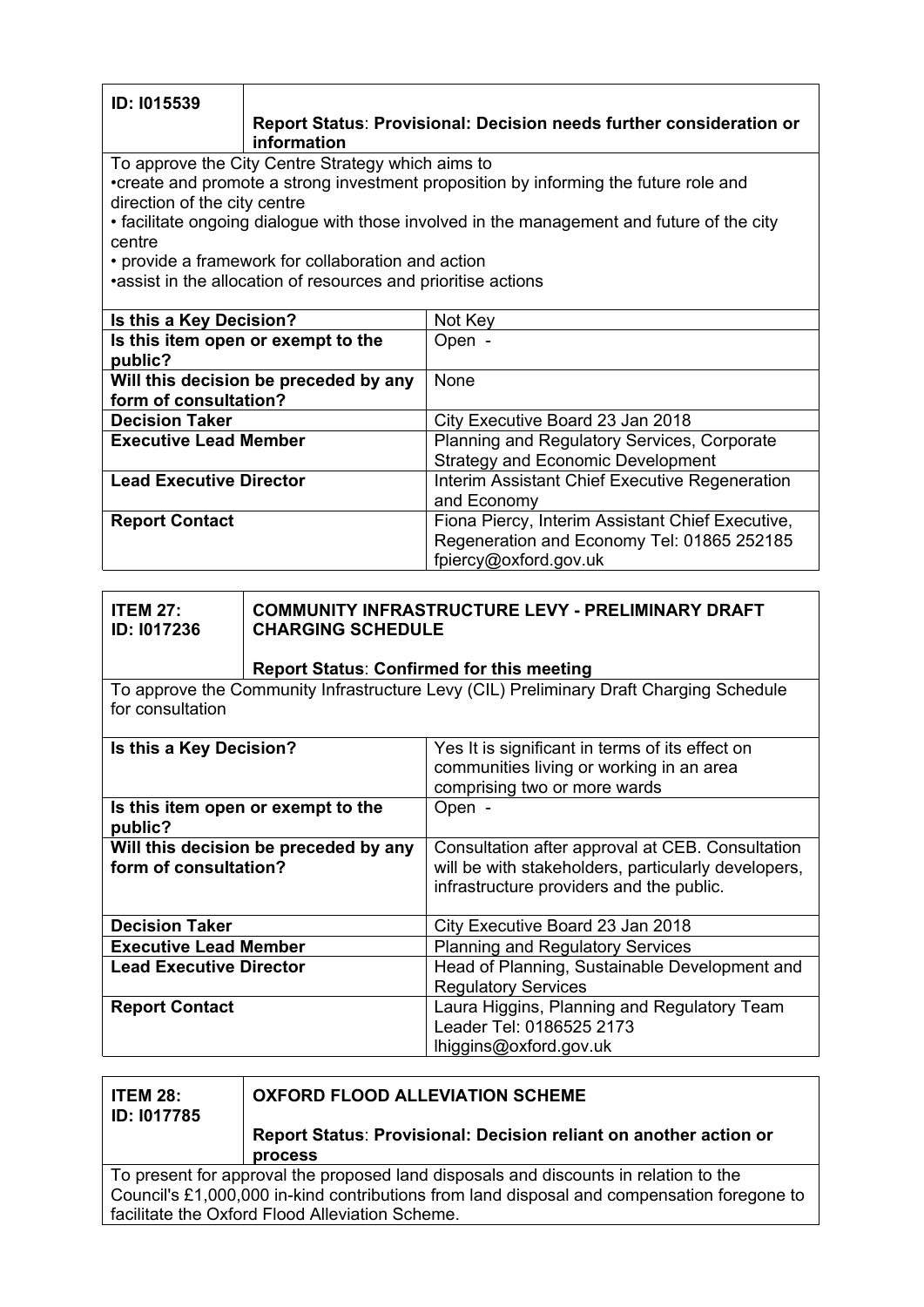| ID: 1015539                                                   |                                                    |                                                                                            |
|---------------------------------------------------------------|----------------------------------------------------|--------------------------------------------------------------------------------------------|
|                                                               | information                                        | Report Status: Provisional: Decision needs further consideration or                        |
|                                                               | To approve the City Centre Strategy which aims to  |                                                                                            |
|                                                               |                                                    | •create and promote a strong investment proposition by informing the future role and       |
| direction of the city centre                                  |                                                    |                                                                                            |
| centre                                                        |                                                    | • facilitate ongoing dialogue with those involved in the management and future of the city |
|                                                               | • provide a framework for collaboration and action |                                                                                            |
|                                                               |                                                    |                                                                                            |
| •assist in the allocation of resources and prioritise actions |                                                    |                                                                                            |
| Not Key<br>Is this a Key Decision?                            |                                                    |                                                                                            |
| Is this item open or exempt to the                            |                                                    | Open -                                                                                     |
| public?                                                       |                                                    |                                                                                            |
| Will this decision be preceded by any                         |                                                    | None                                                                                       |
| form of consultation?                                         |                                                    |                                                                                            |
| <b>Decision Taker</b>                                         |                                                    | City Executive Board 23 Jan 2018                                                           |
| <b>Executive Lead Member</b>                                  |                                                    | Planning and Regulatory Services, Corporate                                                |
|                                                               |                                                    | <b>Strategy and Economic Development</b>                                                   |
| <b>Lead Executive Director</b>                                |                                                    | Interim Assistant Chief Executive Regeneration                                             |
|                                                               |                                                    | and Economy                                                                                |
| <b>Report Contact</b>                                         |                                                    | Fiona Piercy, Interim Assistant Chief Executive,                                           |
|                                                               |                                                    | Regeneration and Economy Tel: 01865 252185                                                 |
|                                                               |                                                    | fpiercy@oxford.gov.uk                                                                      |

| <b>ITEM 27:</b><br><b>ID: 1017236</b>                                                                      | <b>COMMUNITY INFRASTRUCTURE LEVY - PRELIMINARY DRAFT</b><br><b>CHARGING SCHEDULE</b><br><b>Report Status: Confirmed for this meeting</b> |
|------------------------------------------------------------------------------------------------------------|------------------------------------------------------------------------------------------------------------------------------------------|
| To approve the Community Infrastructure Levy (CIL) Preliminary Draft Charging Schedule<br>for consultation |                                                                                                                                          |

| Is this a Key Decision?                                        | Yes It is significant in terms of its effect on<br>communities living or working in an area<br>comprising two or more wards                         |
|----------------------------------------------------------------|-----------------------------------------------------------------------------------------------------------------------------------------------------|
| Is this item open or exempt to the<br>public?                  | Open -                                                                                                                                              |
| Will this decision be preceded by any<br>form of consultation? | Consultation after approval at CEB. Consultation<br>will be with stakeholders, particularly developers,<br>infrastructure providers and the public. |
| <b>Decision Taker</b>                                          | City Executive Board 23 Jan 2018                                                                                                                    |
| <b>Executive Lead Member</b>                                   | <b>Planning and Regulatory Services</b>                                                                                                             |
| <b>Lead Executive Director</b>                                 | Head of Planning, Sustainable Development and<br><b>Regulatory Services</b>                                                                         |
| <b>Report Contact</b>                                          | Laura Higgins, Planning and Regulatory Team<br>Leader Tel: 0186525 2173<br>lhiggins@oxford.gov.uk                                                   |

| <b>ITEM 28:</b><br><b>ID: 1017785</b>                                                      | <b>OXFORD FLOOD ALLEVIATION SCHEME</b>                                              |  |
|--------------------------------------------------------------------------------------------|-------------------------------------------------------------------------------------|--|
|                                                                                            | Report Status: Provisional: Decision reliant on another action or<br><b>process</b> |  |
| To present for approval the proposed land disposals and discounts in relation to the       |                                                                                     |  |
| Council's £1,000,000 in-kind contributions from land disposal and compensation foregone to |                                                                                     |  |
| facilitate the Oxford Flood Alleviation Scheme.                                            |                                                                                     |  |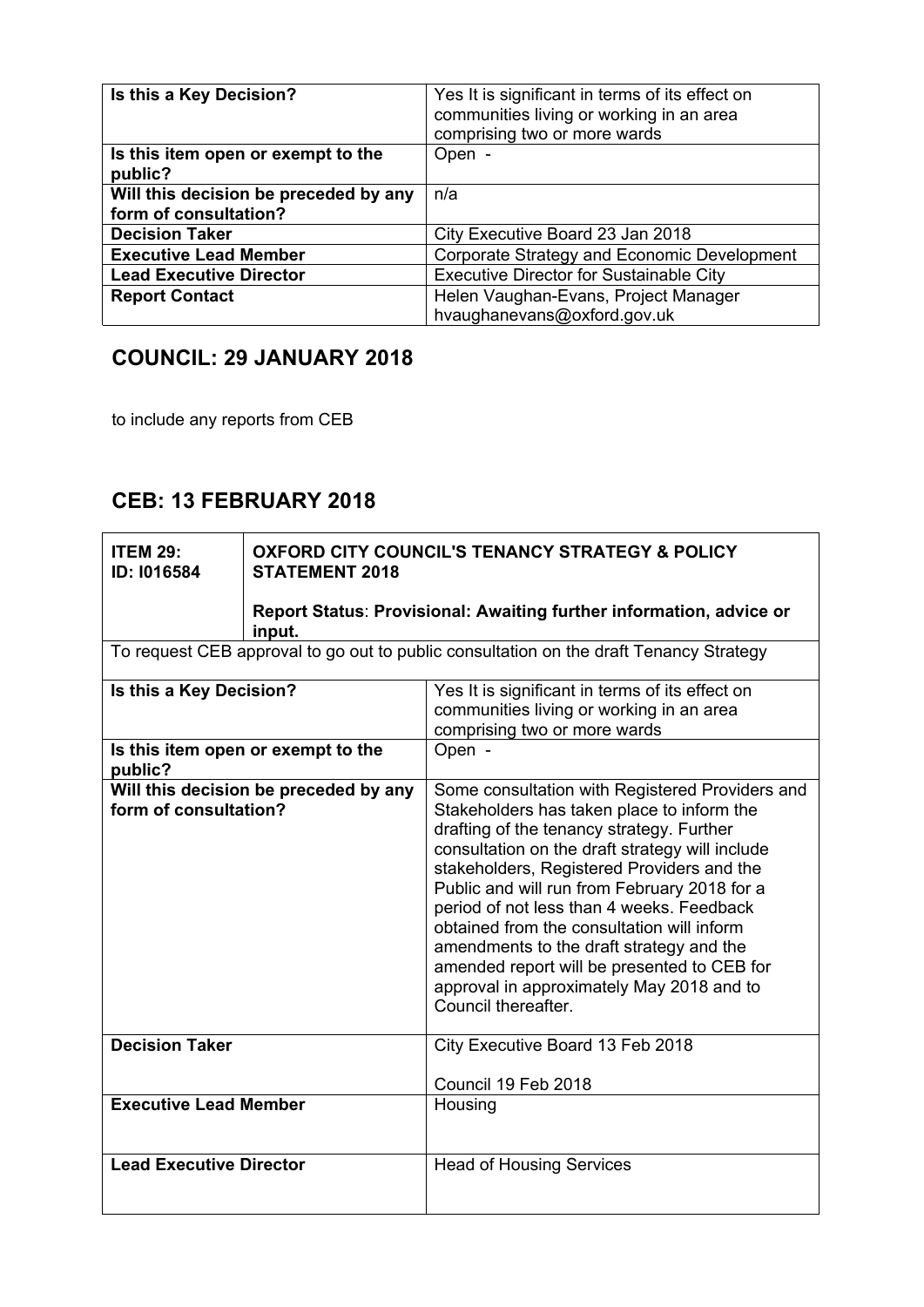| Is this a Key Decision?                       | Yes It is significant in terms of its effect on<br>communities living or working in an area<br>comprising two or more wards |
|-----------------------------------------------|-----------------------------------------------------------------------------------------------------------------------------|
| Is this item open or exempt to the<br>public? | Open -                                                                                                                      |
| Will this decision be preceded by any         | n/a                                                                                                                         |
| form of consultation?                         |                                                                                                                             |
| <b>Decision Taker</b>                         | City Executive Board 23 Jan 2018                                                                                            |
| <b>Executive Lead Member</b>                  | Corporate Strategy and Economic Development                                                                                 |
| <b>Lead Executive Director</b>                | <b>Executive Director for Sustainable City</b>                                                                              |
| <b>Report Contact</b>                         | Helen Vaughan-Evans, Project Manager                                                                                        |
|                                               | hvaughanevans@oxford.gov.uk                                                                                                 |

# **COUNCIL: 29 JANUARY 2018**

to include any reports from CEB

## **CEB: 13 FEBRUARY 2018**

| <b>ITEM 29:</b><br>ID: I016584                                 | <b>OXFORD CITY COUNCIL'S TENANCY STRATEGY &amp; POLICY</b><br><b>STATEMENT 2018</b><br>Report Status: Provisional: Awaiting further information, advice or<br>input. |                                                                                                                                                                                                                                                                                                                                                                                                                                                                                                                                                       |
|----------------------------------------------------------------|----------------------------------------------------------------------------------------------------------------------------------------------------------------------|-------------------------------------------------------------------------------------------------------------------------------------------------------------------------------------------------------------------------------------------------------------------------------------------------------------------------------------------------------------------------------------------------------------------------------------------------------------------------------------------------------------------------------------------------------|
|                                                                |                                                                                                                                                                      | To request CEB approval to go out to public consultation on the draft Tenancy Strategy                                                                                                                                                                                                                                                                                                                                                                                                                                                                |
| Is this a Key Decision?<br>Is this item open or exempt to the  |                                                                                                                                                                      | Yes It is significant in terms of its effect on<br>communities living or working in an area<br>comprising two or more wards<br>Open -                                                                                                                                                                                                                                                                                                                                                                                                                 |
| public?                                                        |                                                                                                                                                                      |                                                                                                                                                                                                                                                                                                                                                                                                                                                                                                                                                       |
| Will this decision be preceded by any<br>form of consultation? |                                                                                                                                                                      | Some consultation with Registered Providers and<br>Stakeholders has taken place to inform the<br>drafting of the tenancy strategy. Further<br>consultation on the draft strategy will include<br>stakeholders, Registered Providers and the<br>Public and will run from February 2018 for a<br>period of not less than 4 weeks. Feedback<br>obtained from the consultation will inform<br>amendments to the draft strategy and the<br>amended report will be presented to CEB for<br>approval in approximately May 2018 and to<br>Council thereafter. |
| <b>Decision Taker</b>                                          |                                                                                                                                                                      | City Executive Board 13 Feb 2018<br>Council 19 Feb 2018                                                                                                                                                                                                                                                                                                                                                                                                                                                                                               |
| <b>Executive Lead Member</b>                                   |                                                                                                                                                                      | Housing                                                                                                                                                                                                                                                                                                                                                                                                                                                                                                                                               |
| <b>Lead Executive Director</b>                                 |                                                                                                                                                                      | <b>Head of Housing Services</b>                                                                                                                                                                                                                                                                                                                                                                                                                                                                                                                       |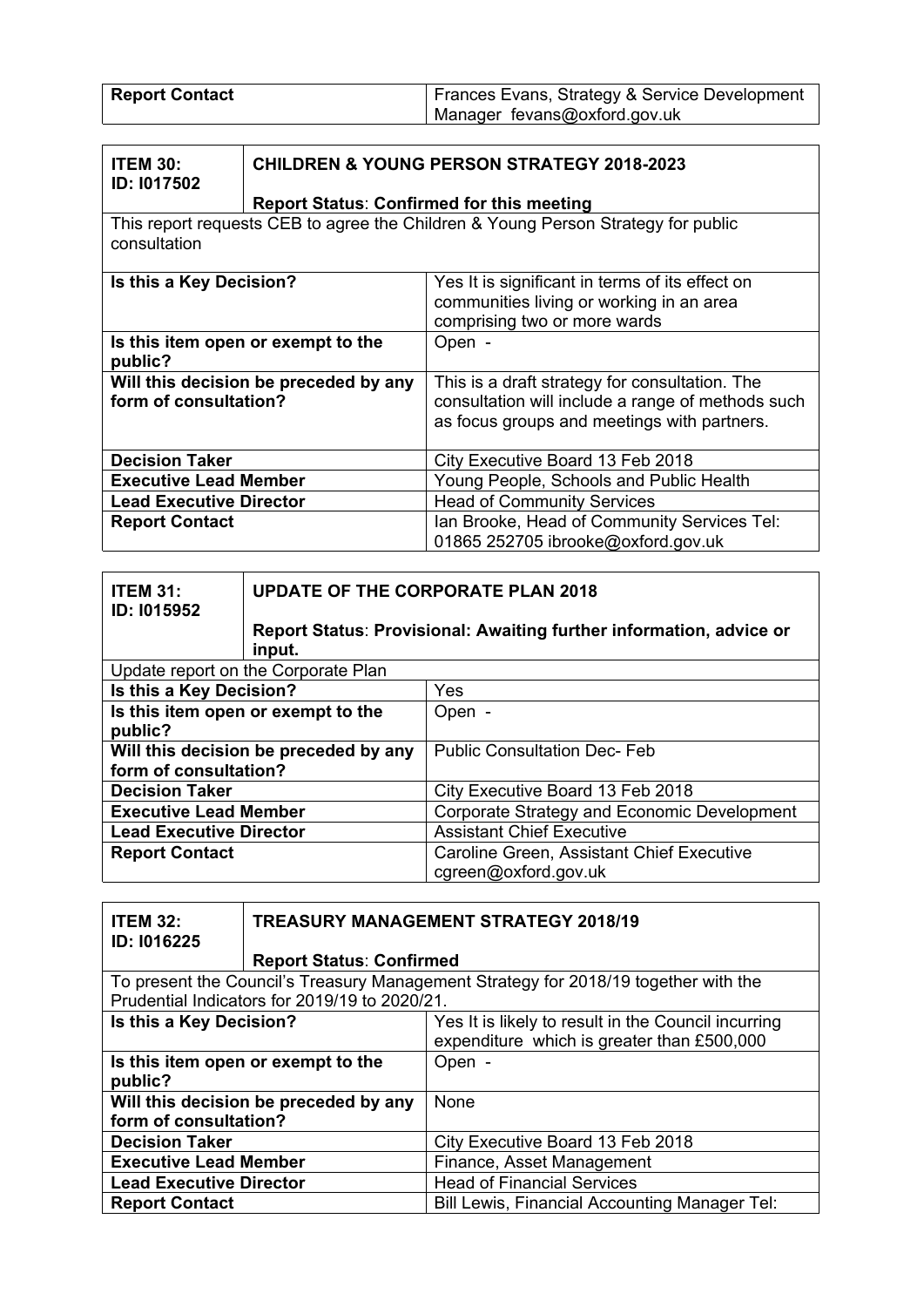| <b>Report Contact</b> | Frances Evans, Strategy & Service Development |
|-----------------------|-----------------------------------------------|
|                       | Manager fevans@oxford.gov.uk                  |

| <b>ITEM 30:</b>    | <b>CHILDREN &amp; YOUNG I</b> |
|--------------------|-------------------------------|
| <b>ID: 1017502</b> |                               |

# **CHILDREN & YOUNG PERSON STRATEGY 2018-2023**

#### **Report Status**: **Confirmed for this meeting**

This report requests CEB to agree the Children & Young Person Strategy for public consultation

| Is this a Key Decision?                       | Yes It is significant in terms of its effect on<br>communities living or working in an area<br>comprising two or more wards |
|-----------------------------------------------|-----------------------------------------------------------------------------------------------------------------------------|
| Is this item open or exempt to the<br>public? | Open -                                                                                                                      |
| Will this decision be preceded by any         | This is a draft strategy for consultation. The                                                                              |
| form of consultation?                         | consultation will include a range of methods such                                                                           |
|                                               | as focus groups and meetings with partners.                                                                                 |
| <b>Decision Taker</b>                         | City Executive Board 13 Feb 2018                                                                                            |
| <b>Executive Lead Member</b>                  | Young People, Schools and Public Health                                                                                     |
| <b>Lead Executive Director</b>                | <b>Head of Community Services</b>                                                                                           |
| <b>Report Contact</b>                         | Ian Brooke, Head of Community Services Tel:                                                                                 |
|                                               | 01865 252705 ibrooke@oxford.gov.uk                                                                                          |

| <b>ITEM 31:</b><br>ID: 1015952                                 | <b>UPDATE OF THE CORPORATE PLAN 2018</b> |                                                                            |
|----------------------------------------------------------------|------------------------------------------|----------------------------------------------------------------------------|
|                                                                | input.                                   | <b>Report Status: Provisional: Awaiting further information, advice or</b> |
|                                                                | Update report on the Corporate Plan      |                                                                            |
| Is this a Key Decision?                                        |                                          | Yes                                                                        |
| Is this item open or exempt to the<br>public?                  |                                          | Open -                                                                     |
| Will this decision be preceded by any<br>form of consultation? |                                          | <b>Public Consultation Dec-Feb</b>                                         |
| <b>Decision Taker</b>                                          |                                          | City Executive Board 13 Feb 2018                                           |
| <b>Executive Lead Member</b>                                   |                                          | Corporate Strategy and Economic Development                                |
| <b>Lead Executive Director</b>                                 |                                          | <b>Assistant Chief Executive</b>                                           |
| <b>Report Contact</b>                                          |                                          | Caroline Green, Assistant Chief Executive                                  |
|                                                                |                                          | cgreen@oxford.gov.uk                                                       |

| <b>ITEM 32:</b><br>ID: I016225                | <b>TREASURY MANAGEMENT STRATEGY 2018/19</b>   |                                                                                                   |
|-----------------------------------------------|-----------------------------------------------|---------------------------------------------------------------------------------------------------|
|                                               | <b>Report Status: Confirmed</b>               |                                                                                                   |
|                                               |                                               | To present the Council's Treasury Management Strategy for 2018/19 together with the               |
|                                               | Prudential Indicators for 2019/19 to 2020/21. |                                                                                                   |
| Is this a Key Decision?                       |                                               | Yes It is likely to result in the Council incurring<br>expenditure which is greater than £500,000 |
| Is this item open or exempt to the<br>public? |                                               | Open -                                                                                            |
| Will this decision be preceded by any         |                                               | None                                                                                              |
| form of consultation?                         |                                               |                                                                                                   |
| <b>Decision Taker</b>                         |                                               | City Executive Board 13 Feb 2018                                                                  |
| <b>Executive Lead Member</b>                  |                                               | Finance, Asset Management                                                                         |
| <b>Lead Executive Director</b>                |                                               | <b>Head of Financial Services</b>                                                                 |
| <b>Report Contact</b>                         |                                               | <b>Bill Lewis, Financial Accounting Manager Tel:</b>                                              |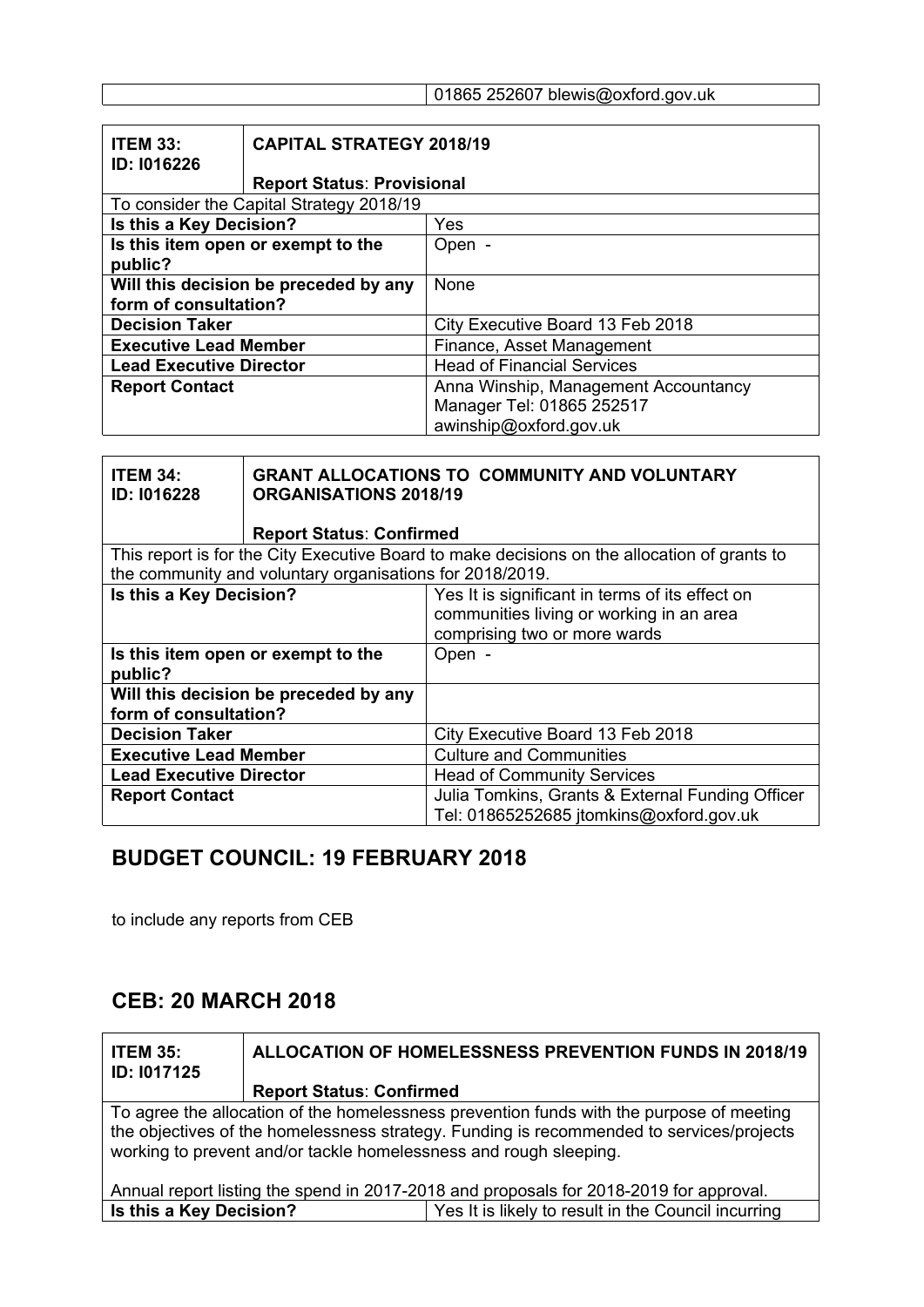#### 01865 252607 blewis@oxford.gov.uk

| <b>ITEM 33:</b><br>ID: 1016226           | <b>CAPITAL STRATEGY 2018/19</b>    |                                      |
|------------------------------------------|------------------------------------|--------------------------------------|
|                                          | <b>Report Status: Provisional</b>  |                                      |
| To consider the Capital Strategy 2018/19 |                                    |                                      |
| Is this a Key Decision?                  |                                    | Yes                                  |
|                                          | Is this item open or exempt to the | Open -                               |
| public?                                  |                                    |                                      |
| Will this decision be preceded by any    |                                    | None                                 |
| form of consultation?                    |                                    |                                      |
| <b>Decision Taker</b>                    |                                    | City Executive Board 13 Feb 2018     |
| <b>Executive Lead Member</b>             |                                    | Finance, Asset Management            |
| <b>Lead Executive Director</b>           |                                    | <b>Head of Financial Services</b>    |
| <b>Report Contact</b>                    |                                    | Anna Winship, Management Accountancy |
|                                          |                                    | Manager Tel: 01865 252517            |
|                                          |                                    | awinship@oxford.gov.uk               |

| <b>ITEM 34:</b><br>ID: I016228                | <b>ORGANISATIONS 2018/19</b>                             | <b>GRANT ALLOCATIONS TO COMMUNITY AND VOLUNTARY</b>                                          |
|-----------------------------------------------|----------------------------------------------------------|----------------------------------------------------------------------------------------------|
|                                               | <b>Report Status: Confirmed</b>                          |                                                                                              |
|                                               |                                                          | This report is for the City Executive Board to make decisions on the allocation of grants to |
|                                               | the community and voluntary organisations for 2018/2019. |                                                                                              |
| Is this a Key Decision?                       |                                                          | Yes It is significant in terms of its effect on                                              |
|                                               |                                                          | communities living or working in an area                                                     |
|                                               |                                                          | comprising two or more wards                                                                 |
| Is this item open or exempt to the<br>public? |                                                          | Open -                                                                                       |
| Will this decision be preceded by any         |                                                          |                                                                                              |
| form of consultation?                         |                                                          |                                                                                              |
| <b>Decision Taker</b>                         |                                                          | City Executive Board 13 Feb 2018                                                             |
| <b>Executive Lead Member</b>                  |                                                          | <b>Culture and Communities</b>                                                               |
| <b>Lead Executive Director</b>                |                                                          | <b>Head of Community Services</b>                                                            |
| <b>Report Contact</b>                         |                                                          | Julia Tomkins, Grants & External Funding Officer                                             |
|                                               |                                                          | Tel: 01865252685 jtomkins@oxford.gov.uk                                                      |

#### **BUDGET COUNCIL: 19 FEBRUARY 2018**

to include any reports from CEB

#### **CEB: 20 MARCH 2018**

**ITEM 35: ID: I017125 ALLOCATION OF HOMELESSNESS PREVENTION FUNDS IN 2018/19 Report Status**: **Confirmed** To agree the allocation of the homelessness prevention funds with the purpose of meeting the objectives of the homelessness strategy. Funding is recommended to services/projects working to prevent and/or tackle homelessness and rough sleeping. Annual report listing the spend in 2017-2018 and proposals for 2018-2019 for approval. **Is this a Key Decision?** Yes It is likely to result in the Council incurring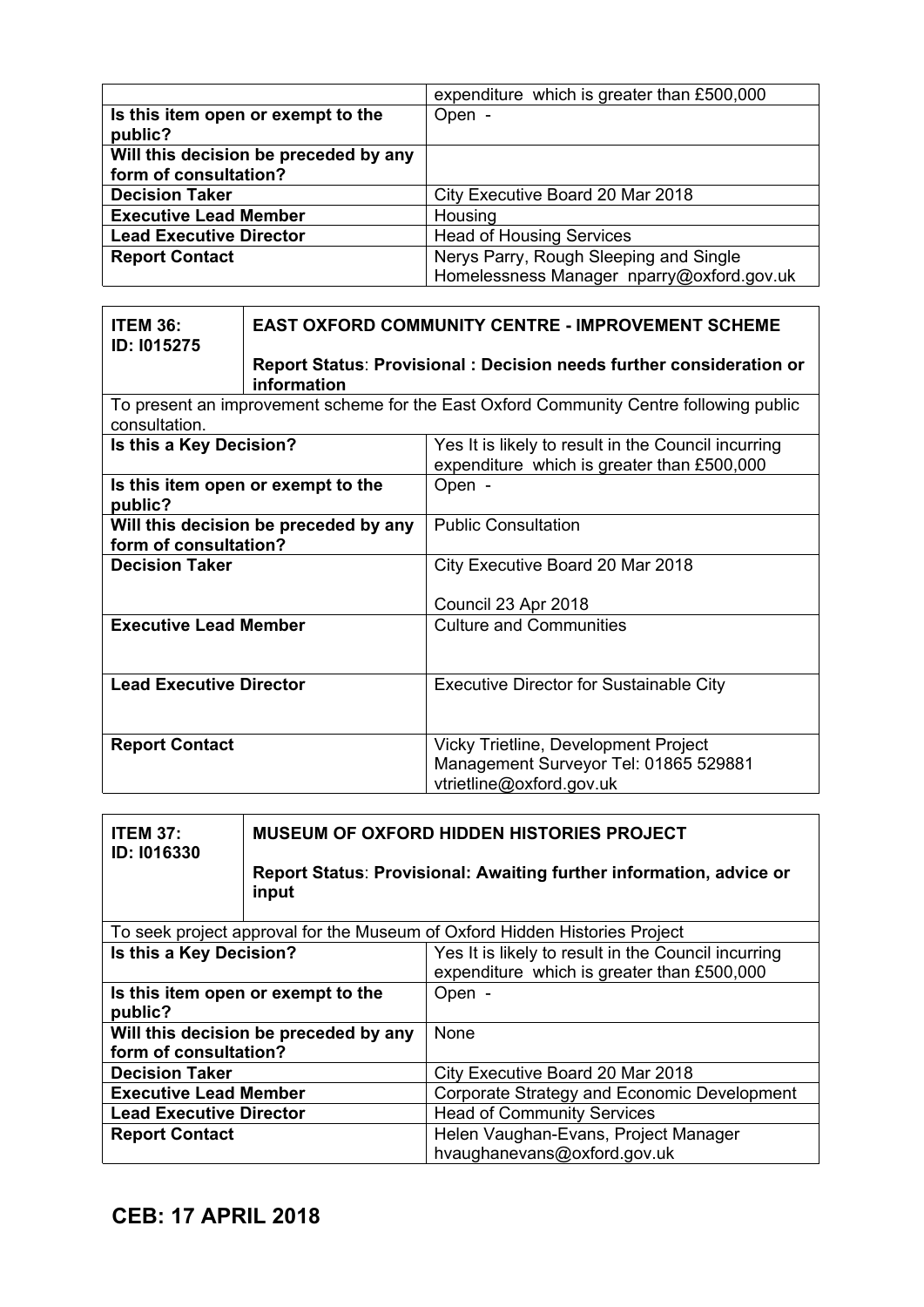|                                       | expenditure which is greater than £500,000 |
|---------------------------------------|--------------------------------------------|
| Is this item open or exempt to the    | Open -                                     |
| public?                               |                                            |
| Will this decision be preceded by any |                                            |
| form of consultation?                 |                                            |
| <b>Decision Taker</b>                 | City Executive Board 20 Mar 2018           |
| <b>Executive Lead Member</b>          | Housing                                    |
| <b>Lead Executive Director</b>        | <b>Head of Housing Services</b>            |
| <b>Report Contact</b>                 | Nerys Parry, Rough Sleeping and Single     |
|                                       | Homelessness Manager nparry@oxford.gov.uk  |

| <b>ITEM 36:</b><br><b>ID: 1015275</b>                          | <b>EAST OXFORD COMMUNITY CENTRE - IMPROVEMENT SCHEME</b> |                                                                                                           |
|----------------------------------------------------------------|----------------------------------------------------------|-----------------------------------------------------------------------------------------------------------|
|                                                                | information                                              | Report Status: Provisional: Decision needs further consideration or                                       |
| consultation.                                                  |                                                          | To present an improvement scheme for the East Oxford Community Centre following public                    |
| Is this a Key Decision?                                        |                                                          | Yes It is likely to result in the Council incurring<br>expenditure which is greater than £500,000         |
| public?                                                        | Is this item open or exempt to the                       | Open -                                                                                                    |
| Will this decision be preceded by any<br>form of consultation? |                                                          | <b>Public Consultation</b>                                                                                |
| <b>Decision Taker</b>                                          |                                                          | City Executive Board 20 Mar 2018                                                                          |
|                                                                |                                                          | Council 23 Apr 2018                                                                                       |
| <b>Executive Lead Member</b>                                   |                                                          | <b>Culture and Communities</b>                                                                            |
| <b>Lead Executive Director</b>                                 |                                                          | <b>Executive Director for Sustainable City</b>                                                            |
| <b>Report Contact</b>                                          |                                                          | Vicky Trietline, Development Project<br>Management Surveyor Tel: 01865 529881<br>vtrietline@oxford.gov.uk |

| <b>ITEM 37:</b><br>ID: 1016330 | <b>MUSEUM OF OXFORD HIDDEN HISTORIES PROJECT</b>                                                  |                                                                            |
|--------------------------------|---------------------------------------------------------------------------------------------------|----------------------------------------------------------------------------|
|                                | input                                                                                             | Report Status: Provisional: Awaiting further information, advice or        |
|                                |                                                                                                   | To seek project approval for the Museum of Oxford Hidden Histories Project |
| Is this a Key Decision?        | Yes It is likely to result in the Council incurring<br>expenditure which is greater than £500,000 |                                                                            |
| public?                        | Is this item open or exempt to the                                                                | Open -                                                                     |
| form of consultation?          | Will this decision be preceded by any                                                             | <b>None</b>                                                                |
| <b>Decision Taker</b>          |                                                                                                   | City Executive Board 20 Mar 2018                                           |
| <b>Executive Lead Member</b>   |                                                                                                   | Corporate Strategy and Economic Development                                |
| <b>Lead Executive Director</b> |                                                                                                   | <b>Head of Community Services</b>                                          |
| <b>Report Contact</b>          |                                                                                                   | Helen Vaughan-Evans, Project Manager<br>hvaughanevans@oxford.gov.uk        |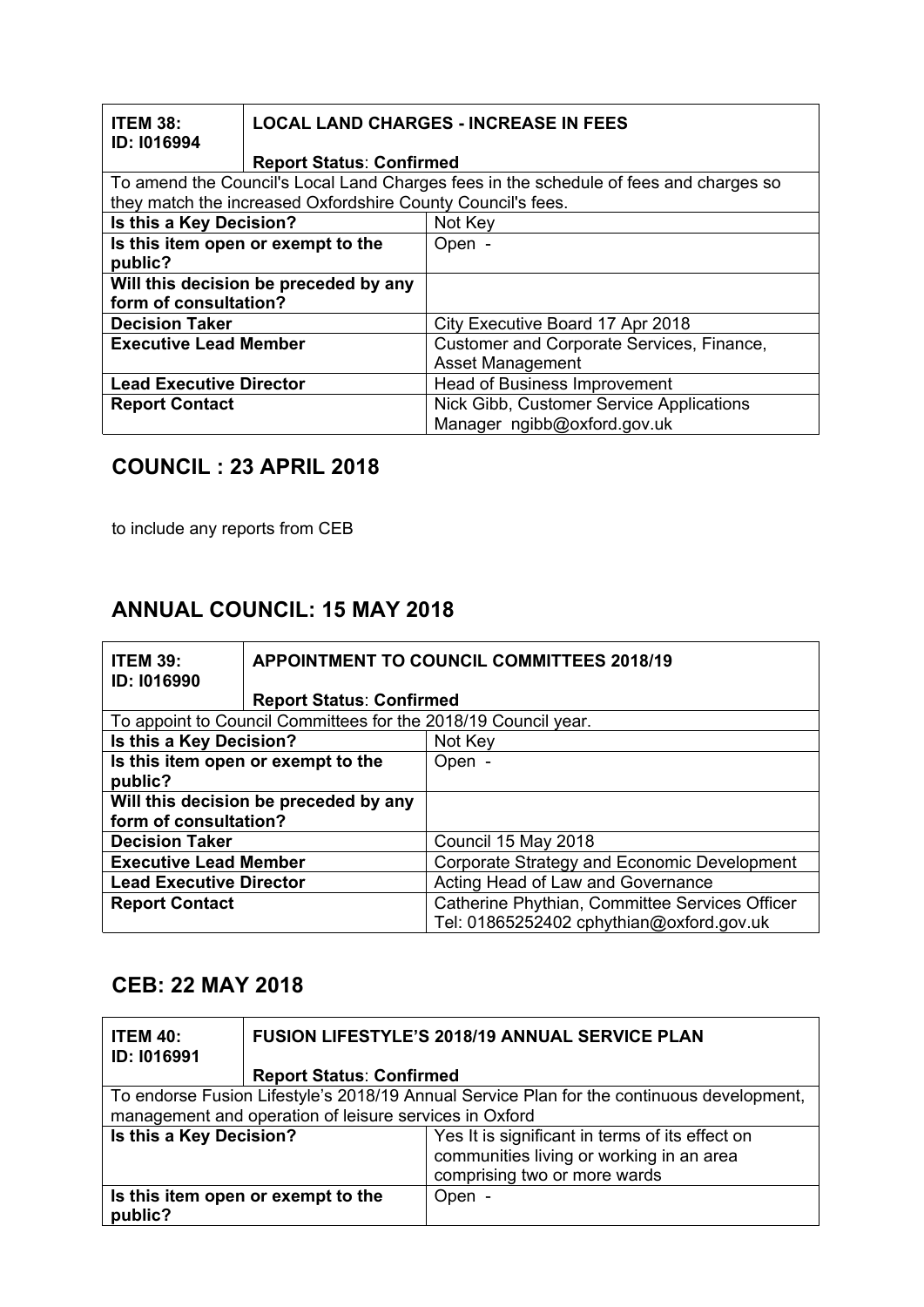| <b>ITEM 38:</b><br>ID: 1016994 |                                                             | <b>LOCAL LAND CHARGES - INCREASE IN FEES</b>                                          |
|--------------------------------|-------------------------------------------------------------|---------------------------------------------------------------------------------------|
|                                | <b>Report Status: Confirmed</b>                             |                                                                                       |
|                                |                                                             | To amend the Council's Local Land Charges fees in the schedule of fees and charges so |
|                                | they match the increased Oxfordshire County Council's fees. |                                                                                       |
| Is this a Key Decision?        |                                                             | Not Key                                                                               |
|                                | Is this item open or exempt to the                          | Open -                                                                                |
| public?                        |                                                             |                                                                                       |
|                                | Will this decision be preceded by any                       |                                                                                       |
| form of consultation?          |                                                             |                                                                                       |
| <b>Decision Taker</b>          |                                                             | City Executive Board 17 Apr 2018                                                      |
| <b>Executive Lead Member</b>   |                                                             | Customer and Corporate Services, Finance,                                             |
|                                |                                                             | <b>Asset Management</b>                                                               |
| <b>Lead Executive Director</b> |                                                             | <b>Head of Business Improvement</b>                                                   |
| <b>Report Contact</b>          |                                                             | Nick Gibb, Customer Service Applications                                              |
|                                |                                                             | Manager ngibb@oxford.gov.uk                                                           |

#### **COUNCIL : 23 APRIL 2018**

to include any reports from CEB

## **ANNUAL COUNCIL: 15 MAY 2018**

| <b>ITEM 39:</b><br><b>ID: 1016990</b> |                                                                | <b>APPOINTMENT TO COUNCIL COMMITTEES 2018/19</b> |
|---------------------------------------|----------------------------------------------------------------|--------------------------------------------------|
|                                       | <b>Report Status: Confirmed</b>                                |                                                  |
|                                       | To appoint to Council Committees for the 2018/19 Council year. |                                                  |
| Is this a Key Decision?               |                                                                | Not Key                                          |
| Is this item open or exempt to the    |                                                                | Open -                                           |
| public?                               |                                                                |                                                  |
| Will this decision be preceded by any |                                                                |                                                  |
| form of consultation?                 |                                                                |                                                  |
| <b>Decision Taker</b>                 |                                                                | Council 15 May 2018                              |
| <b>Executive Lead Member</b>          |                                                                | Corporate Strategy and Economic Development      |
| <b>Lead Executive Director</b>        |                                                                | Acting Head of Law and Governance                |
| <b>Report Contact</b>                 |                                                                | Catherine Phythian, Committee Services Officer   |
|                                       |                                                                | Tel: 01865252402 cphythian@oxford.gov.uk         |

#### **CEB: 22 MAY 2018**

| <b>ITEM 40:</b><br>ID: 1016991                         | <b>FUSION LIFESTYLE'S 2018/19 ANNUAL SERVICE PLAN</b>                                     |                                                                                                                             |
|--------------------------------------------------------|-------------------------------------------------------------------------------------------|-----------------------------------------------------------------------------------------------------------------------------|
|                                                        | <b>Report Status: Confirmed</b>                                                           |                                                                                                                             |
|                                                        | To endorse Fusion Lifestyle's 2018/19 Annual Service Plan for the continuous development, |                                                                                                                             |
| management and operation of leisure services in Oxford |                                                                                           |                                                                                                                             |
| Is this a Key Decision?                                |                                                                                           | Yes It is significant in terms of its effect on<br>communities living or working in an area<br>comprising two or more wards |
| public?                                                | Is this item open or exempt to the                                                        | Open -                                                                                                                      |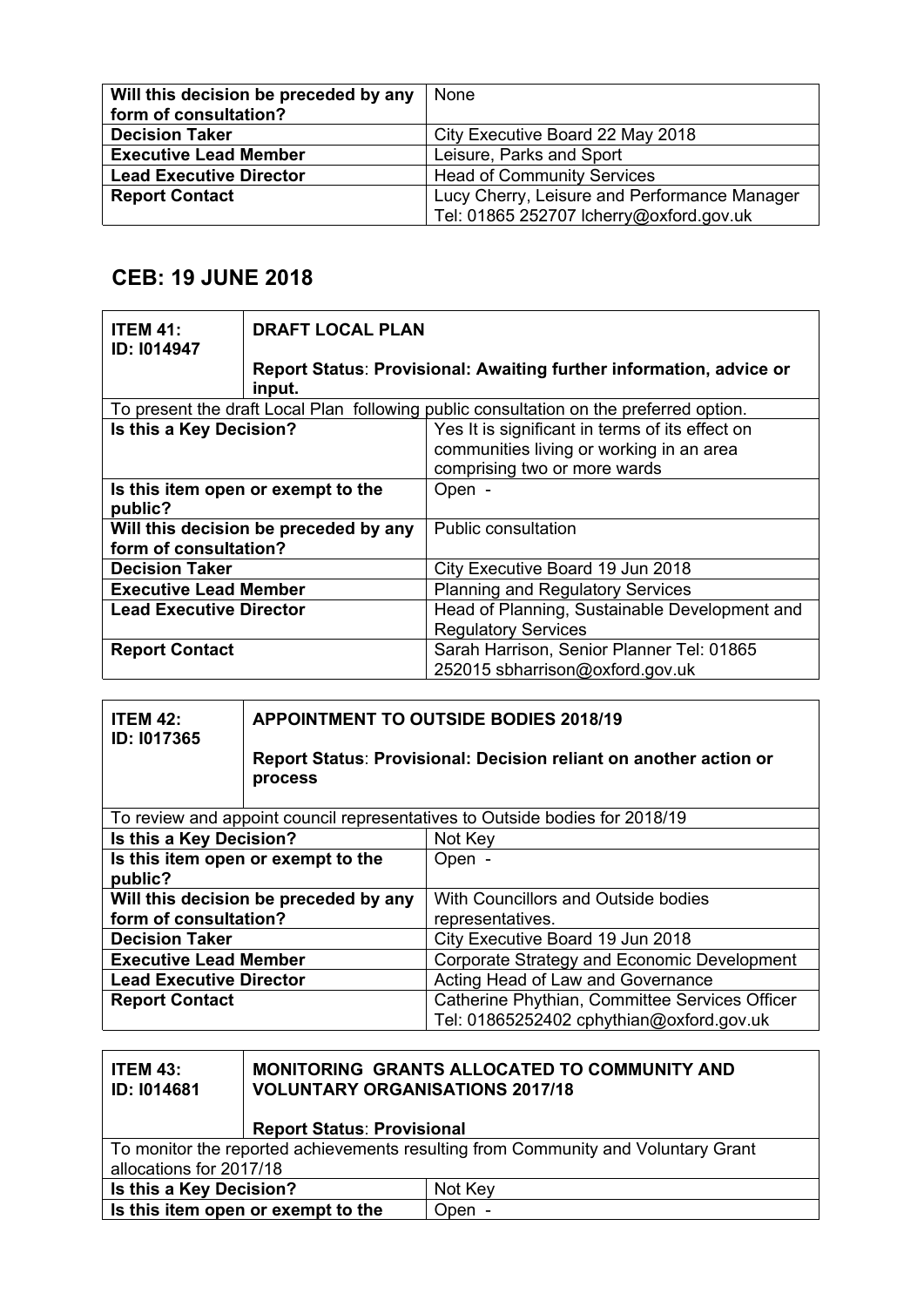| Will this decision be preceded by any | None                                         |
|---------------------------------------|----------------------------------------------|
| form of consultation?                 |                                              |
| <b>Decision Taker</b>                 | City Executive Board 22 May 2018             |
| <b>Executive Lead Member</b>          | Leisure, Parks and Sport                     |
| <b>Lead Executive Director</b>        | <b>Head of Community Services</b>            |
| <b>Report Contact</b>                 | Lucy Cherry, Leisure and Performance Manager |
|                                       | Tel: 01865 252707 Icherry@oxford.gov.uk      |

## **CEB: 19 JUNE 2018**

| <b>ITEM 41:</b><br><b>ID: 1014947</b> | <b>DRAFT LOCAL PLAN</b>            |                                                                                        |
|---------------------------------------|------------------------------------|----------------------------------------------------------------------------------------|
|                                       | input.                             | Report Status: Provisional: Awaiting further information, advice or                    |
|                                       |                                    | To present the draft Local Plan following public consultation on the preferred option. |
| Is this a Key Decision?               |                                    | Yes It is significant in terms of its effect on                                        |
|                                       |                                    | communities living or working in an area                                               |
|                                       |                                    | comprising two or more wards                                                           |
|                                       | Is this item open or exempt to the | Open -                                                                                 |
| public?                               |                                    |                                                                                        |
| Will this decision be preceded by any |                                    | <b>Public consultation</b>                                                             |
| form of consultation?                 |                                    |                                                                                        |
| <b>Decision Taker</b>                 |                                    | City Executive Board 19 Jun 2018                                                       |
| <b>Executive Lead Member</b>          |                                    | <b>Planning and Regulatory Services</b>                                                |
| <b>Lead Executive Director</b>        |                                    | Head of Planning, Sustainable Development and                                          |
|                                       |                                    | <b>Regulatory Services</b>                                                             |
| <b>Report Contact</b>                 |                                    | Sarah Harrison, Senior Planner Tel: 01865                                              |
|                                       |                                    | 252015 sbharrison@oxford.gov.uk                                                        |

| <b>ITEM 42:</b><br>ID: 1017365        | <b>APPOINTMENT TO OUTSIDE BODIES 2018/19</b> |                                                                             |
|---------------------------------------|----------------------------------------------|-----------------------------------------------------------------------------|
|                                       | process                                      | Report Status: Provisional: Decision reliant on another action or           |
|                                       |                                              | To review and appoint council representatives to Outside bodies for 2018/19 |
| Is this a Key Decision?               | Not Key                                      |                                                                             |
|                                       | Is this item open or exempt to the           | Open -                                                                      |
| public?                               |                                              |                                                                             |
| Will this decision be preceded by any |                                              | With Councillors and Outside bodies                                         |
| form of consultation?                 |                                              | representatives.                                                            |
| <b>Decision Taker</b>                 |                                              | City Executive Board 19 Jun 2018                                            |
| <b>Executive Lead Member</b>          |                                              | Corporate Strategy and Economic Development                                 |
| <b>Lead Executive Director</b>        |                                              | Acting Head of Law and Governance                                           |
| <b>Report Contact</b>                 |                                              | Catherine Phythian, Committee Services Officer                              |
|                                       |                                              | Tel: 01865252402 cphythian@oxford.gov.uk                                    |

| <b>ITEM 43:</b><br><b>ID: 1014681</b>                                             | <b>MONITORING GRANTS ALLOCATED TO COMMUNITY AND</b><br><b>VOLUNTARY ORGANISATIONS 2017/18</b> |  |
|-----------------------------------------------------------------------------------|-----------------------------------------------------------------------------------------------|--|
|                                                                                   | <b>Report Status: Provisional</b>                                                             |  |
| To monitor the reported achievements resulting from Community and Voluntary Grant |                                                                                               |  |
| allocations for 2017/18                                                           |                                                                                               |  |
|                                                                                   | Is this a Key Decision?<br>Not Key                                                            |  |
|                                                                                   | Is this item open or exempt to the<br>Open -                                                  |  |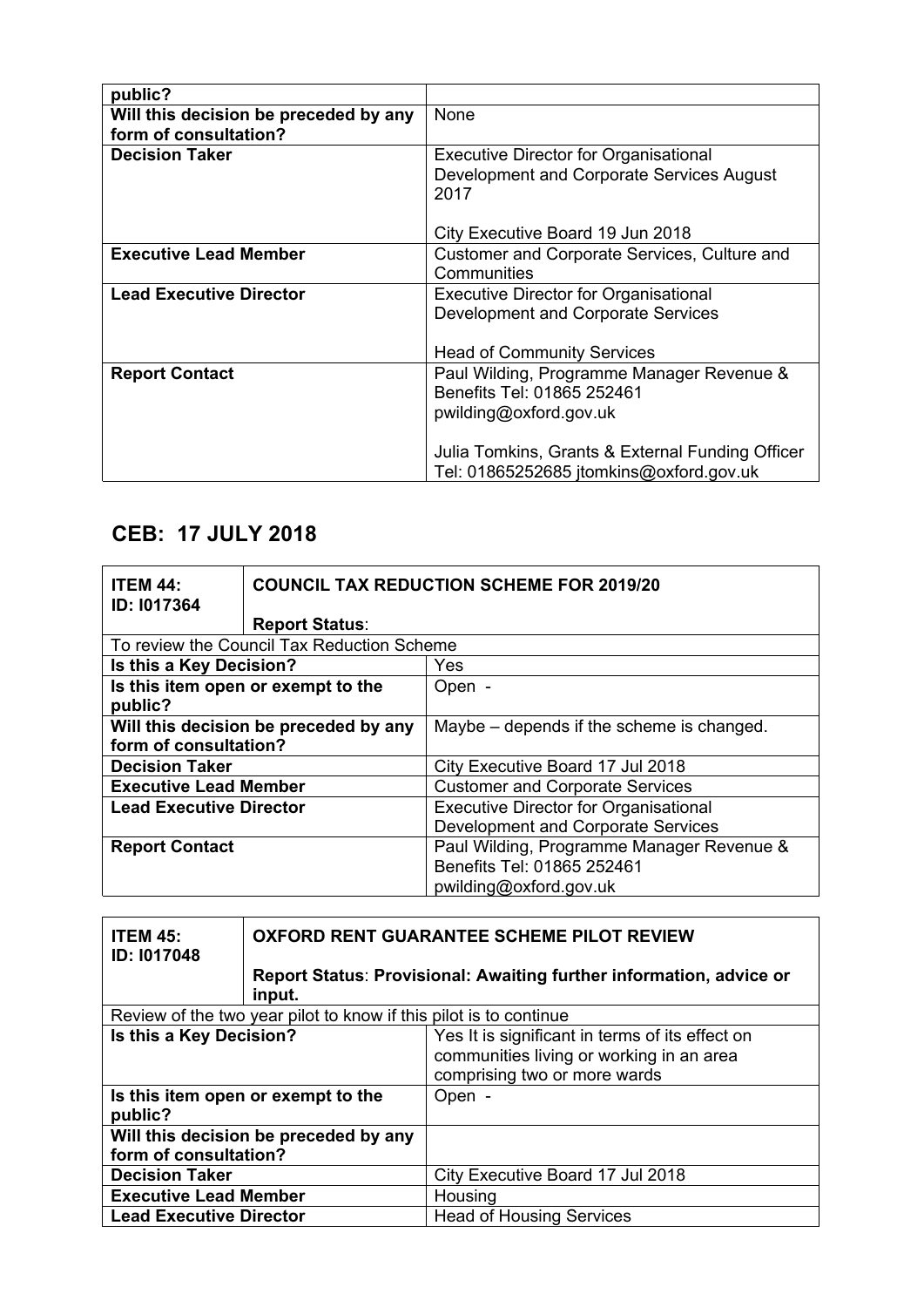| public?                               |                                                             |
|---------------------------------------|-------------------------------------------------------------|
| Will this decision be preceded by any | None                                                        |
| form of consultation?                 |                                                             |
| <b>Decision Taker</b>                 | <b>Executive Director for Organisational</b>                |
|                                       | Development and Corporate Services August<br>2017           |
|                                       | City Executive Board 19 Jun 2018                            |
| <b>Executive Lead Member</b>          | Customer and Corporate Services, Culture and<br>Communities |
| <b>Lead Executive Director</b>        | <b>Executive Director for Organisational</b>                |
|                                       | Development and Corporate Services                          |
|                                       |                                                             |
|                                       | <b>Head of Community Services</b>                           |
| <b>Report Contact</b>                 | Paul Wilding, Programme Manager Revenue &                   |
|                                       | Benefits Tel: 01865 252461                                  |
|                                       | pwilding@oxford.gov.uk                                      |
|                                       |                                                             |
|                                       | Julia Tomkins, Grants & External Funding Officer            |
|                                       | Tel: 01865252685 jtomkins@oxford.gov.uk                     |

# **CEB: 17 JULY 2018**

| <b>ITEM 44:</b><br>ID: 1017364 |                                            | <b>COUNCIL TAX REDUCTION SCHEME FOR 2019/20</b> |
|--------------------------------|--------------------------------------------|-------------------------------------------------|
|                                | <b>Report Status:</b>                      |                                                 |
|                                | To review the Council Tax Reduction Scheme |                                                 |
| Is this a Key Decision?        |                                            | Yes                                             |
|                                | Is this item open or exempt to the         | Open -                                          |
| public?                        |                                            |                                                 |
|                                | Will this decision be preceded by any      | Maybe – depends if the scheme is changed.       |
| form of consultation?          |                                            |                                                 |
| <b>Decision Taker</b>          |                                            | City Executive Board 17 Jul 2018                |
| <b>Executive Lead Member</b>   |                                            | <b>Customer and Corporate Services</b>          |
| <b>Lead Executive Director</b> |                                            | <b>Executive Director for Organisational</b>    |
|                                |                                            | Development and Corporate Services              |
| <b>Report Contact</b>          |                                            | Paul Wilding, Programme Manager Revenue &       |
|                                |                                            | Benefits Tel: 01865 252461                      |
|                                |                                            | pwilding@oxford.gov.uk                          |

| <b>ITEM 45:</b><br><b>ID: 1017048</b>                             | OXFORD RENT GUARANTEE SCHEME PILOT REVIEW |                                                                                                                             |  |
|-------------------------------------------------------------------|-------------------------------------------|-----------------------------------------------------------------------------------------------------------------------------|--|
|                                                                   | input.                                    | <b>Report Status: Provisional: Awaiting further information, advice or</b>                                                  |  |
| Review of the two year pilot to know if this pilot is to continue |                                           |                                                                                                                             |  |
| Is this a Key Decision?                                           |                                           | Yes It is significant in terms of its effect on<br>communities living or working in an area<br>comprising two or more wards |  |
| Is this item open or exempt to the<br>public?                     |                                           | Open -                                                                                                                      |  |
| Will this decision be preceded by any<br>form of consultation?    |                                           |                                                                                                                             |  |
| <b>Decision Taker</b>                                             |                                           | City Executive Board 17 Jul 2018                                                                                            |  |
| <b>Executive Lead Member</b>                                      |                                           | Housing                                                                                                                     |  |
| <b>Lead Executive Director</b>                                    |                                           | <b>Head of Housing Services</b>                                                                                             |  |